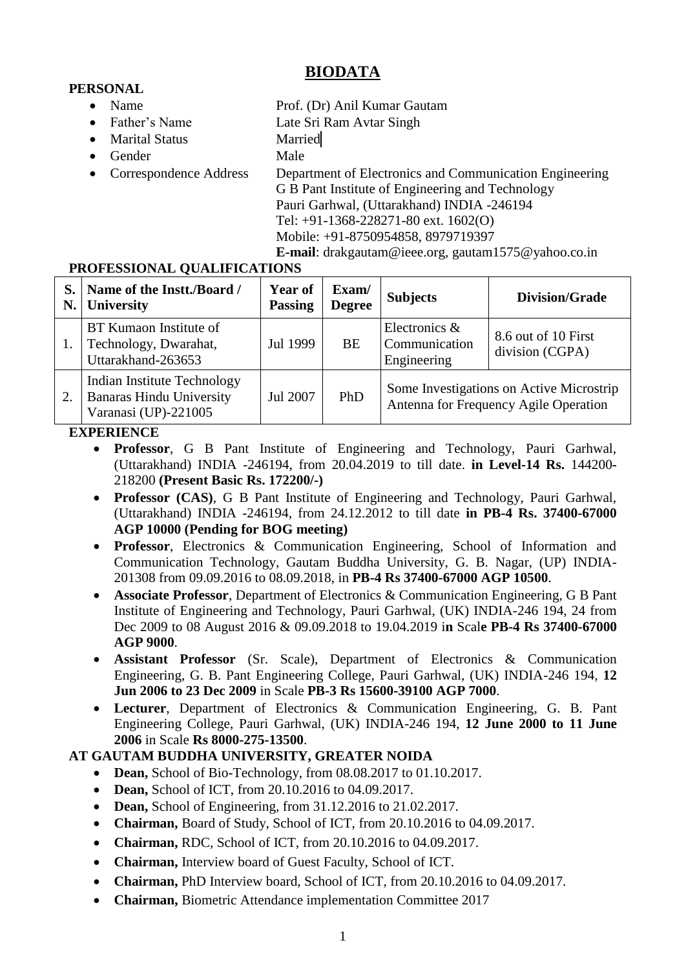# **BIODATA**

# **PERSONAL**

- 
- Father's Name Late Sri Ram Avtar Singh
- Marital Status Married
- Gender Male
- 

• Name Prof. (Dr) Anil Kumar Gautam

• Correspondence Address Department of Electronics and Communication Engineering G B Pant Institute of Engineering and Technology Pauri Garhwal, (Uttarakhand) INDIA -246194 Tel: +91-1368-228271-80 ext. 1602(O) Mobile: +91-8750954858, 8979719397

**E-mail**: drakgautam@ieee.org, gautam1575@yahoo.co.in

# **PROFESSIONAL QUALIFICATIONS**

| N. | Name of the Instt./Board /<br>University                                               | Year of<br><b>Passing</b> | Exam/<br><b>Degree</b> | <b>Subjects</b>                                                                   | <b>Division/Grade</b>                  |
|----|----------------------------------------------------------------------------------------|---------------------------|------------------------|-----------------------------------------------------------------------------------|----------------------------------------|
|    | BT Kumaon Institute of<br>Technology, Dwarahat,<br>Uttarakhand-263653                  | Jul 1999                  | <b>BE</b>              | Electronics &<br>Communication<br>Engineering                                     | 8.6 out of 10 First<br>division (CGPA) |
|    | Indian Institute Technology<br><b>Banaras Hindu University</b><br>Varanasi (UP)-221005 | Jul 2007                  | PhD                    | Some Investigations on Active Microstrip<br>Antenna for Frequency Agile Operation |                                        |

# **EXPERIENCE**

- **Professor**, G B Pant Institute of Engineering and Technology, Pauri Garhwal, (Uttarakhand) INDIA -246194, from 20.04.2019 to till date. **in Level-14 Rs.** 144200**-** 218200 **(Present Basic Rs. 172200/-)**
- **Professor (CAS)**, G B Pant Institute of Engineering and Technology, Pauri Garhwal, (Uttarakhand) INDIA -246194, from 24.12.2012 to till date **in PB-4 Rs. 37400-67000 AGP 10000 (Pending for BOG meeting)**
- **Professor**, Electronics & Communication Engineering, School of Information and Communication Technology, Gautam Buddha University, G. B. Nagar, (UP) INDIA-201308 from 09.09.2016 to 08.09.2018, in **PB-4 Rs 37400-67000 AGP 10500**.
- **Associate Professor**, Department of Electronics & Communication Engineering, G B Pant Institute of Engineering and Technology, Pauri Garhwal, (UK) INDIA-246 194, 24 from Dec 2009 to 08 August 2016 & 09.09.2018 to 19.04.2019 i**n** Scal**e PB-4 Rs 37400-67000 AGP 9000**.
- **Assistant Professor** (Sr. Scale), Department of Electronics & Communication Engineering, G. B. Pant Engineering College, Pauri Garhwal, (UK) INDIA-246 194, **12 Jun 2006 to 23 Dec 2009** in Scale **PB-3 Rs 15600-39100 AGP 7000**.
- **Lecturer**, Department of Electronics & Communication Engineering, G. B. Pant Engineering College, Pauri Garhwal, (UK) INDIA-246 194, **12 June 2000 to 11 June 2006** in Scale **Rs 8000-275-13500**.

# **AT GAUTAM BUDDHA UNIVERSITY, GREATER NOIDA**

- Dean, School of Bio-Technology, from 08.08.2017 to 01.10.2017.
- **Dean, School of ICT, from 20.10.2016 to 04.09.2017.**
- **Dean, School of Engineering, from 31.12.2016 to 21.02.2017.**
- **Chairman,** Board of Study, School of ICT, from 20.10.2016 to 04.09.2017.
- **Chairman,** RDC, School of ICT, from 20.10.2016 to 04.09.2017.
- **Chairman,** Interview board of Guest Faculty, School of ICT.
- **Chairman,** PhD Interview board, School of ICT, from 20.10.2016 to 04.09.2017.
- **Chairman,** Biometric Attendance implementation Committee 2017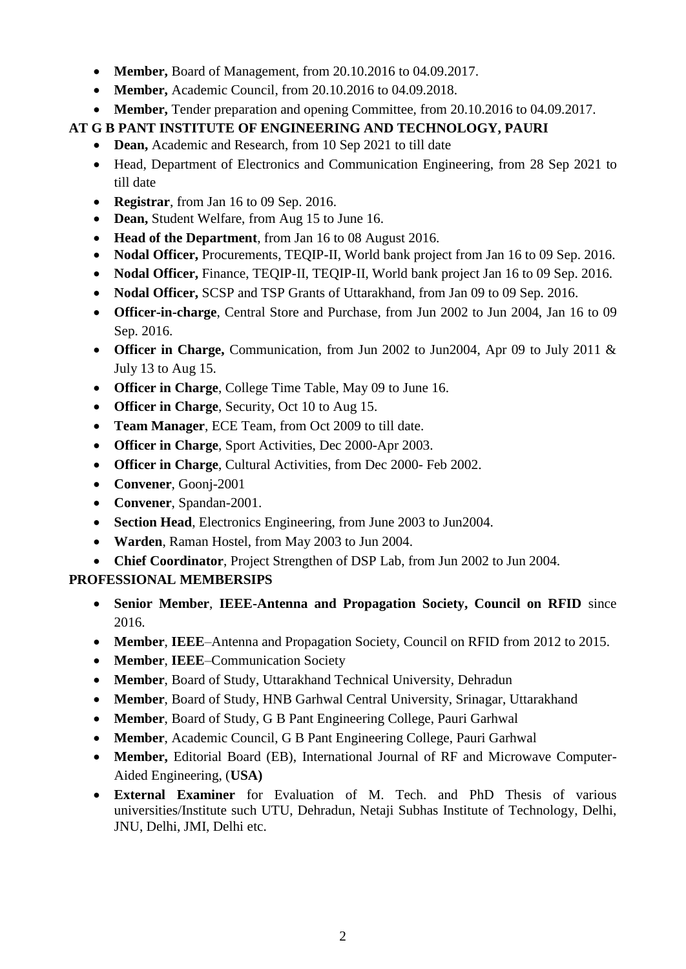- **Member,** Board of Management, from 20.10.2016 to 04.09.2017.
- **Member, Academic Council, from 20.10.2016 to 04.09.2018.**
- **Member,** Tender preparation and opening Committee, from 20.10.2016 to 04.09.2017.

# **AT G B PANT INSTITUTE OF ENGINEERING AND TECHNOLOGY, PAURI**

- Dean, Academic and Research, from 10 Sep 2021 to till date
- Head, Department of Electronics and Communication Engineering, from 28 Sep 2021 to till date
- **Registrar**, from Jan 16 to 09 Sep. 2016.
- Dean, Student Welfare, from Aug 15 to June 16.
- **Head of the Department**, from Jan 16 to 08 August 2016.
- **Nodal Officer,** Procurements, TEQIP-II, World bank project from Jan 16 to 09 Sep. 2016.
- **Nodal Officer,** Finance, TEQIP-II, TEQIP-II, World bank project Jan 16 to 09 Sep. 2016.
- **Nodal Officer,** SCSP and TSP Grants of Uttarakhand, from Jan 09 to 09 Sep. 2016.
- **Officer-in-charge**, Central Store and Purchase, from Jun 2002 to Jun 2004, Jan 16 to 09 Sep. 2016.
- **Officer in Charge,** Communication, from Jun 2002 to Jun2004, Apr 09 to July 2011 & July 13 to Aug 15.
- **Officer in Charge**, College Time Table, May 09 to June 16.
- **Officer in Charge**, Security, Oct 10 to Aug 15.
- **Team Manager**, ECE Team, from Oct 2009 to till date.
- **Officer in Charge**, Sport Activities, Dec 2000-Apr 2003.
- **Officer in Charge**, Cultural Activities, from Dec 2000- Feb 2002.
- **Convener**, Goonj-2001
- **Convener**, Spandan-2001.
- **Section Head**, Electronics Engineering, from June 2003 to Jun2004.
- **Warden**, Raman Hostel, from May 2003 to Jun 2004.
- **Chief Coordinator**, Project Strengthen of DSP Lab, from Jun 2002 to Jun 2004.

# **PROFESSIONAL MEMBERSIPS**

- **Senior Member**, **IEEE-Antenna and Propagation Society, Council on RFID** since 2016.
- **Member**, **IEEE**–Antenna and Propagation Society, Council on RFID from 2012 to 2015.
- **Member**, **IEEE**–Communication Society
- **Member**, Board of Study, Uttarakhand Technical University, Dehradun
- **Member**, Board of Study, HNB Garhwal Central University, Srinagar, Uttarakhand
- **Member**, Board of Study, G B Pant Engineering College, Pauri Garhwal
- **Member**, Academic Council, G B Pant Engineering College, Pauri Garhwal
- **Member,** Editorial Board (EB), International Journal of RF and Microwave Computer-Aided Engineering, (**USA)**
- **External Examiner** for Evaluation of M. Tech. and PhD Thesis of various universities/Institute such UTU, Dehradun, Netaji Subhas Institute of Technology, Delhi, JNU, Delhi, JMI, Delhi etc.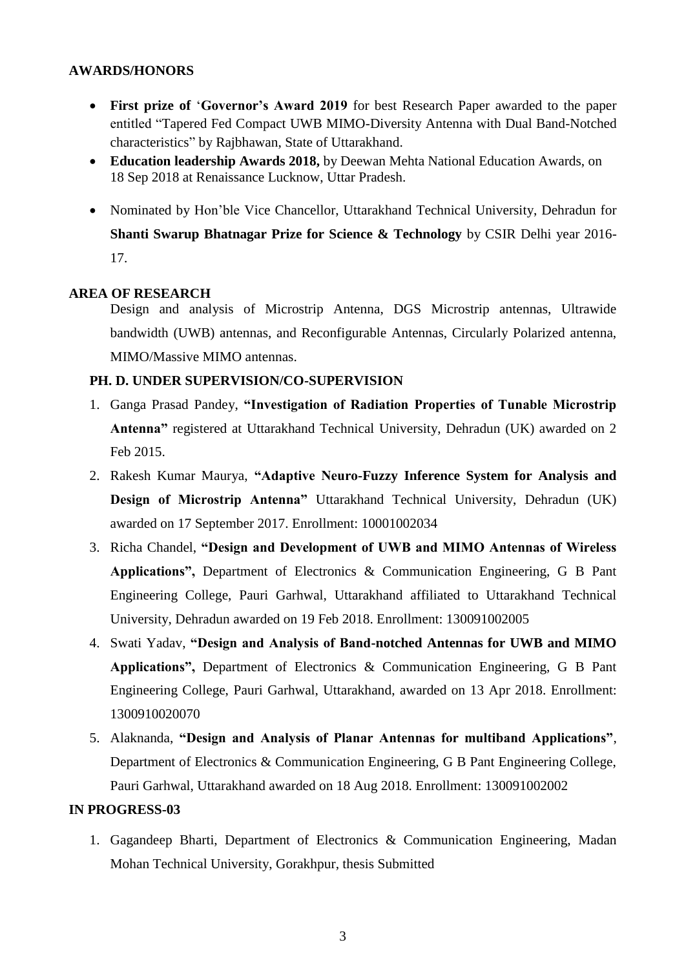## **AWARDS/HONORS**

- **First prize of** "**Governor's Award 2019** for best Research Paper awarded to the paper entitled "Tapered Fed Compact UWB MIMO-Diversity Antenna with Dual Band-Notched characteristics" by Rajbhawan, State of Uttarakhand.
- **Education leadership Awards 2018,** by Deewan Mehta National Education Awards, on 18 Sep 2018 at Renaissance Lucknow, Uttar Pradesh.
- Nominated by Hon"ble Vice Chancellor, Uttarakhand Technical University, Dehradun for **Shanti Swarup Bhatnagar Prize for Science & Technology** by CSIR Delhi year 2016- 17.

# **AREA OF RESEARCH**

Design and analysis of Microstrip Antenna, DGS Microstrip antennas, Ultrawide bandwidth (UWB) antennas, and Reconfigurable Antennas, Circularly Polarized antenna, MIMO/Massive MIMO antennas.

# **PH. D. UNDER SUPERVISION/CO-SUPERVISION**

- 1. Ganga Prasad Pandey, **"Investigation of Radiation Properties of Tunable Microstrip Antenna"** registered at Uttarakhand Technical University, Dehradun (UK) awarded on 2 Feb 2015.
- 2. Rakesh Kumar Maurya, **"Adaptive Neuro-Fuzzy Inference System for Analysis and Design of Microstrip Antenna"** Uttarakhand Technical University, Dehradun (UK) awarded on 17 September 2017. Enrollment: 10001002034
- 3. Richa Chandel, **"Design and Development of UWB and MIMO Antennas of Wireless Applications",** Department of Electronics & Communication Engineering, G B Pant Engineering College, Pauri Garhwal, Uttarakhand affiliated to Uttarakhand Technical University, Dehradun awarded on 19 Feb 2018. Enrollment: 130091002005
- 4. Swati Yadav, **"Design and Analysis of Band-notched Antennas for UWB and MIMO Applications",** Department of Electronics & Communication Engineering, G B Pant Engineering College, Pauri Garhwal, Uttarakhand, awarded on 13 Apr 2018. Enrollment: 1300910020070
- 5. Alaknanda, **"Design and Analysis of Planar Antennas for multiband Applications"**, Department of Electronics & Communication Engineering, G B Pant Engineering College, Pauri Garhwal, Uttarakhand awarded on 18 Aug 2018. Enrollment: 130091002002

# **IN PROGRESS-03**

1. Gagandeep Bharti, Department of Electronics & Communication Engineering, Madan Mohan Technical University, Gorakhpur, thesis Submitted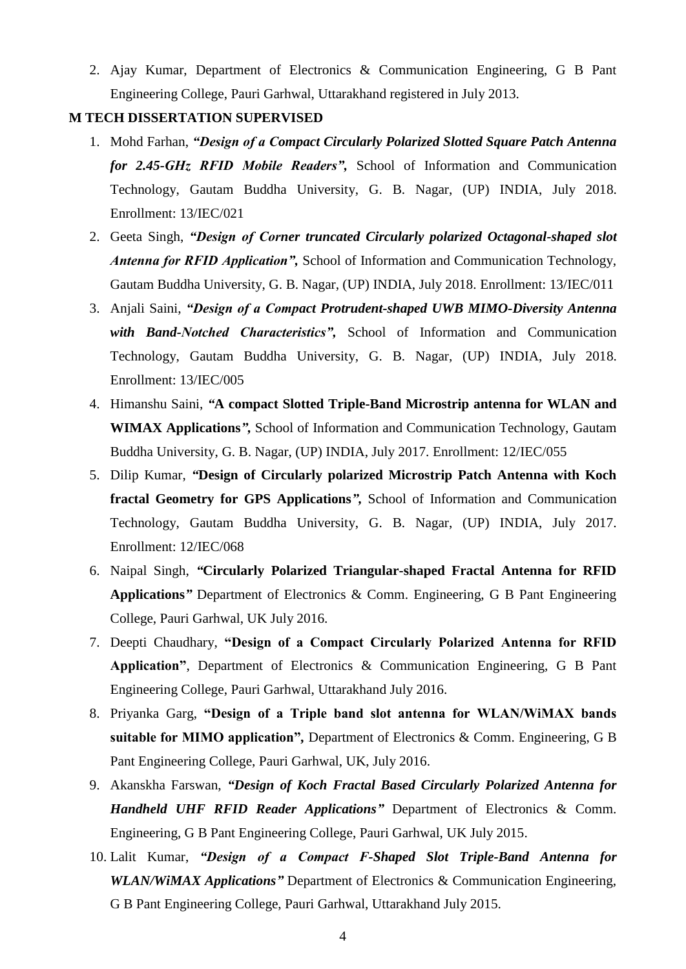2. Ajay Kumar, Department of Electronics & Communication Engineering, G B Pant Engineering College, Pauri Garhwal, Uttarakhand registered in July 2013.

### **M TECH DISSERTATION SUPERVISED**

- 1. Mohd Farhan, *"Design of a Compact Circularly Polarized Slotted Square Patch Antenna for 2.45-GHz RFID Mobile Readers",* School of Information and Communication Technology, Gautam Buddha University, G. B. Nagar, (UP) INDIA, July 2018. Enrollment: 13/IEC/021
- 2. Geeta Singh, *"Design of Corner truncated Circularly polarized Octagonal-shaped slot Antenna for RFID Application",* School of Information and Communication Technology, Gautam Buddha University, G. B. Nagar, (UP) INDIA, July 2018. Enrollment: 13/IEC/011
- 3. Anjali Saini, *"Design of a Compact Protrudent-shaped UWB MIMO-Diversity Antenna with Band-Notched Characteristics",* School of Information and Communication Technology, Gautam Buddha University, G. B. Nagar, (UP) INDIA, July 2018. Enrollment: 13/IEC/005
- 4. Himanshu Saini, *"***A compact Slotted Triple-Band Microstrip antenna for WLAN and WIMAX Applications***",* School of Information and Communication Technology, Gautam Buddha University, G. B. Nagar, (UP) INDIA, July 2017. Enrollment: 12/IEC/055
- 5. Dilip Kumar, *"***Design of Circularly polarized Microstrip Patch Antenna with Koch fractal Geometry for GPS Applications***",* School of Information and Communication Technology, Gautam Buddha University, G. B. Nagar, (UP) INDIA, July 2017. Enrollment: 12/IEC/068
- 6. Naipal Singh, *"***Circularly Polarized Triangular-shaped Fractal Antenna for RFID Applications***"* Department of Electronics & Comm. Engineering, G B Pant Engineering College, Pauri Garhwal, UK July 2016.
- 7. Deepti Chaudhary, **"Design of a Compact Circularly Polarized Antenna for RFID Application"**, Department of Electronics & Communication Engineering, G B Pant Engineering College, Pauri Garhwal, Uttarakhand July 2016.
- 8. Priyanka Garg, **"Design of a Triple band slot antenna for WLAN/WiMAX bands suitable for MIMO application"***,* Department of Electronics & Comm. Engineering, G B Pant Engineering College, Pauri Garhwal, UK, July 2016.
- 9. Akanskha Farswan, *"Design of Koch Fractal Based Circularly Polarized Antenna for Handheld UHF RFID Reader Applications"* Department of Electronics & Comm. Engineering, G B Pant Engineering College, Pauri Garhwal, UK July 2015.
- 10. Lalit Kumar, *"Design of a Compact F-Shaped Slot Triple-Band Antenna for WLAN/WiMAX Applications"* Department of Electronics & Communication Engineering, G B Pant Engineering College, Pauri Garhwal, Uttarakhand July 2015.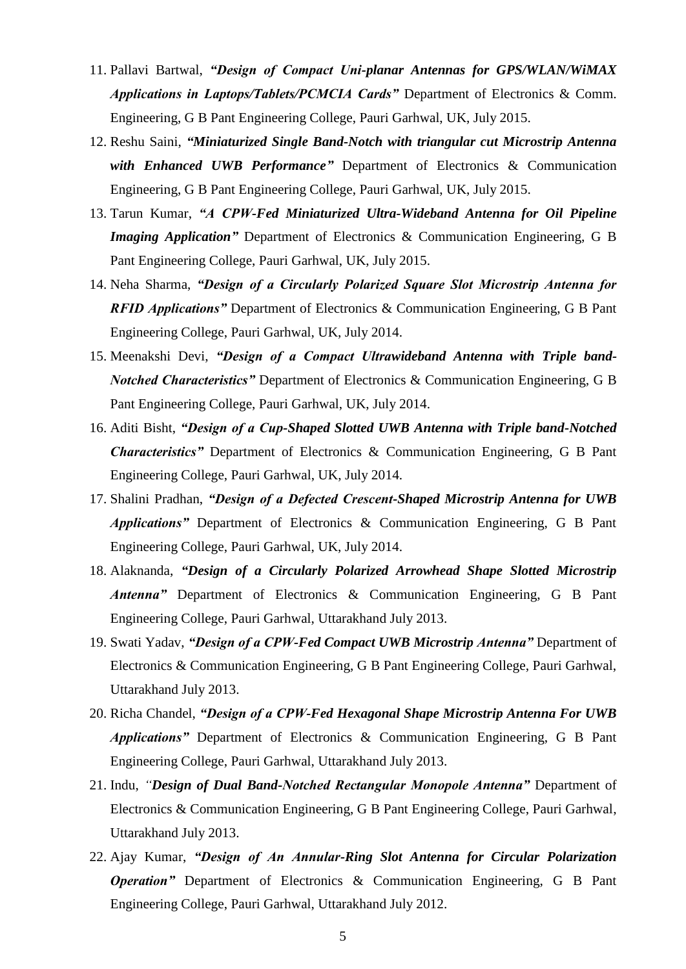- 11. Pallavi Bartwal, *"Design of Compact Uni-planar Antennas for GPS/WLAN/WiMAX Applications in Laptops/Tablets/PCMCIA Cards"* Department of Electronics & Comm. Engineering, G B Pant Engineering College, Pauri Garhwal, UK, July 2015.
- 12. Reshu Saini, *"Miniaturized Single Band-Notch with triangular cut Microstrip Antenna with Enhanced UWB Performance"* Department of Electronics & Communication Engineering, G B Pant Engineering College, Pauri Garhwal, UK, July 2015.
- 13. Tarun Kumar, *"A CPW-Fed Miniaturized Ultra-Wideband Antenna for Oil Pipeline Imaging Application*" Department of Electronics & Communication Engineering, G B Pant Engineering College, Pauri Garhwal, UK, July 2015.
- 14. Neha Sharma, *"Design of a Circularly Polarized Square Slot Microstrip Antenna for RFID Applications"* Department of Electronics & Communication Engineering, G B Pant Engineering College, Pauri Garhwal, UK, July 2014.
- 15. Meenakshi Devi, *"Design of a Compact Ultrawideband Antenna with Triple band-Notched Characteristics"* Department of Electronics & Communication Engineering, G B Pant Engineering College, Pauri Garhwal, UK, July 2014.
- 16. Aditi Bisht, *"Design of a Cup-Shaped Slotted UWB Antenna with Triple band-Notched Characteristics"* Department of Electronics & Communication Engineering, G B Pant Engineering College, Pauri Garhwal, UK, July 2014.
- 17. Shalini Pradhan, *"Design of a Defected Crescent-Shaped Microstrip Antenna for UWB Applications"* Department of Electronics & Communication Engineering, G B Pant Engineering College, Pauri Garhwal, UK, July 2014.
- 18. Alaknanda, *"Design of a Circularly Polarized Arrowhead Shape Slotted Microstrip Antenna"* Department of Electronics & Communication Engineering, G B Pant Engineering College, Pauri Garhwal, Uttarakhand July 2013.
- 19. Swati Yadav, *"Design of a CPW-Fed Compact UWB Microstrip Antenna"* Department of Electronics & Communication Engineering, G B Pant Engineering College, Pauri Garhwal, Uttarakhand July 2013.
- 20. Richa Chandel, *"Design of a CPW-Fed Hexagonal Shape Microstrip Antenna For UWB Applications"* Department of Electronics & Communication Engineering, G B Pant Engineering College, Pauri Garhwal, Uttarakhand July 2013.
- 21. Indu, *"Design of Dual Band-Notched Rectangular Monopole Antenna"* Department of Electronics & Communication Engineering, G B Pant Engineering College, Pauri Garhwal, Uttarakhand July 2013.
- 22. Ajay Kumar, *"Design of An Annular-Ring Slot Antenna for Circular Polarization Operation P* Department of Electronics & Communication Engineering, G B Pant Engineering College, Pauri Garhwal, Uttarakhand July 2012.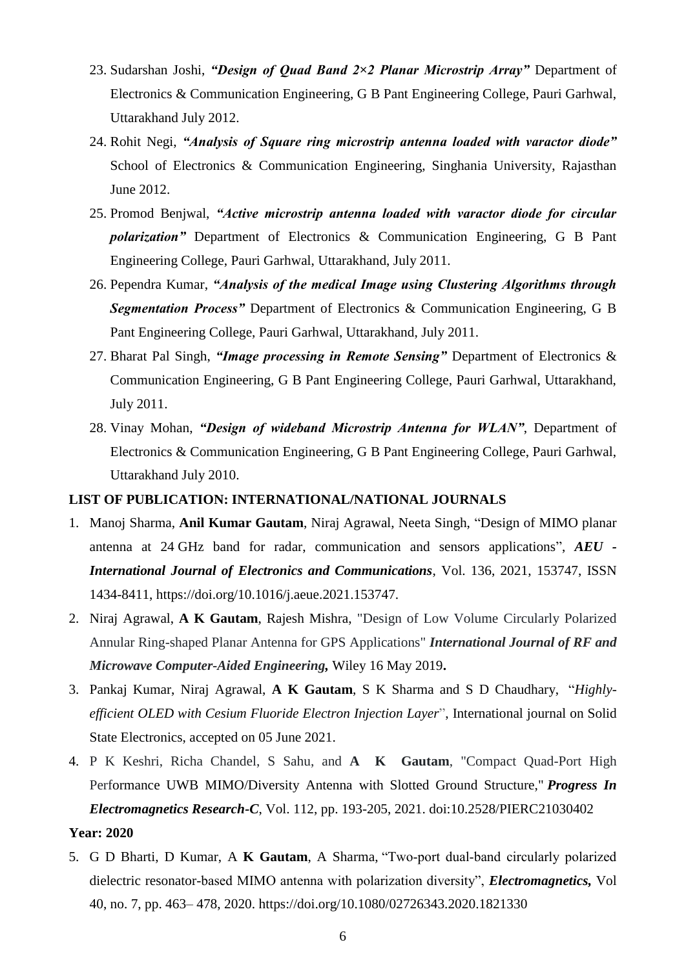- 23. Sudarshan Joshi, *"Design of Quad Band 2×2 Planar Microstrip Array"* Department of Electronics & Communication Engineering, G B Pant Engineering College, Pauri Garhwal, Uttarakhand July 2012.
- 24. Rohit Negi, *"Analysis of Square ring microstrip antenna loaded with varactor diode"* School of Electronics & Communication Engineering, Singhania University, Rajasthan June 2012.
- 25. Promod Benjwal, *"Active microstrip antenna loaded with varactor diode for circular polarization"* Department of Electronics & Communication Engineering, G B Pant Engineering College, Pauri Garhwal, Uttarakhand, July 2011.
- 26. Pependra Kumar, *"Analysis of the medical Image using Clustering Algorithms through Segmentation Process"* Department of Electronics & Communication Engineering, G B Pant Engineering College, Pauri Garhwal, Uttarakhand, July 2011.
- 27. Bharat Pal Singh, *"Image processing in Remote Sensing"* Department of Electronics & Communication Engineering, G B Pant Engineering College, Pauri Garhwal, Uttarakhand, July 2011.
- 28. Vinay Mohan, *"Design of wideband Microstrip Antenna for WLAN"*, Department of Electronics & Communication Engineering, G B Pant Engineering College, Pauri Garhwal, Uttarakhand July 2010.

# **LIST OF PUBLICATION: INTERNATIONAL/NATIONAL JOURNALS**

- 1. Manoj Sharma, **Anil Kumar Gautam**, Niraj Agrawal, Neeta Singh, "Design of MIMO planar antenna at 24 GHz band for radar, communication and sensors applications", *AEU - International Journal of Electronics and Communications*, Vol. 136, 2021, 153747, ISSN 1434-8411, https://doi.org/10.1016/j.aeue.2021.153747.
- 2. Niraj Agrawal, **A K Gautam**, Rajesh Mishra, "Design of Low Volume Circularly Polarized Annular Ring-shaped Planar Antenna for GPS Applications" *International Journal of RF and Microwave Computer-Aided Engineering,* Wiley 16 May 2019**.**
- 3. Pankaj Kumar, Niraj Agrawal, **A K Gautam**, S K Sharma and S D Chaudhary, "*Highlyefficient OLED with Cesium Fluoride Electron Injection Layer*", International journal on Solid State Electronics, accepted on 05 June 2021.
- 4. P K Keshri, Richa Chandel, S Sahu, and **A K Gautam**, "Compact Quad-Port High Performance UWB MIMO/Diversity Antenna with Slotted Ground Structure," *Progress In Electromagnetics Research-C*, Vol. 112, pp. 193-205, 2021. doi[:10.2528/PIERC21030402](/Users/profakgautam/Desktop/last%20backup/phd/10.2528/PIERC21030402)

## **Year: 2020**

5. G D Bharti, D Kumar, A **K Gautam**, A Sharma, "Two‐port dual‐band circularly polarized dielectric resonator-based MIMO antenna with polarization diversity", *Electromagnetics,* Vol 40, no. 7, pp. 463– 478, 2020. https://doi.org/10.1080/02726343.2020.1821330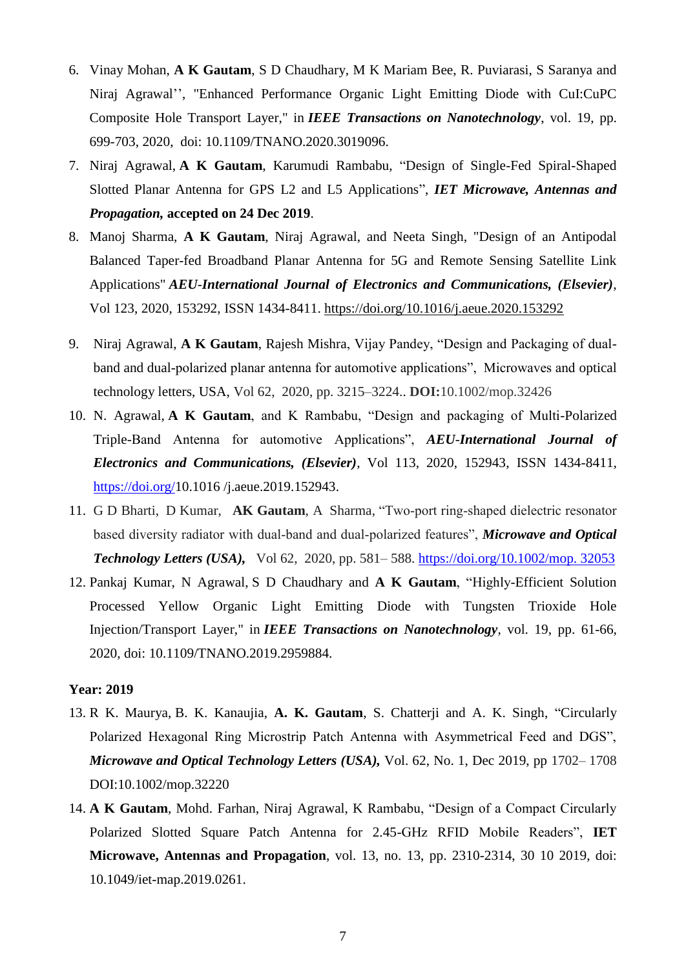- 6. Vinay Mohan, **A K Gautam**, S D Chaudhary, M K Mariam Bee, R. Puviarasi, S Saranya and Niraj Agrawal", "Enhanced Performance Organic Light Emitting Diode with CuI:CuPC Composite Hole Transport Layer," in *IEEE Transactions on Nanotechnology*, vol. 19, pp. 699-703, 2020, doi: 10.1109/TNANO.2020.3019096.
- 7. Niraj Agrawal, **A K Gautam**, Karumudi Rambabu, "Design of Single-Fed Spiral-Shaped Slotted Planar Antenna for GPS L2 and L5 Applications", *IET Microwave, Antennas and Propagation,* **accepted on 24 Dec 2019**.
- 8. Manoj Sharma, **A K Gautam**, Niraj Agrawal, and Neeta Singh, "Design of an Antipodal Balanced Taper-fed Broadband Planar Antenna for 5G and Remote Sensing Satellite Link Applications" *AEU*-*International Journal of Electronics and Communications, (Elsevier)*, Vol 123, 2020, 153292, ISSN 1434-8411.<https://doi.org/10.1016/j.aeue.2020.153292>
- 9. Niraj Agrawal, **A K Gautam**, Rajesh Mishra, Vijay Pandey, "Design and Packaging of dualband and dual-polarized planar antenna for automotive applications", Microwaves and optical technology letters, USA, Vol 62, 2020, pp. 3215–3224.. **DOI:**10.1002/mop.32426
- 10. N. Agrawal, **A K Gautam**, and K Rambabu, "Design and packaging of Multi-Polarized Triple-Band Antenna for automotive Applications", *AEU*-*International Journal of Electronics and Communications, (Elsevier),* Vol 113, 2020, 152943, ISSN 1434-8411, [https://doi.org/1](https://doi.org/)0.1016/j.aeue.2019.152943.
- 11. G D Bharti, D Kumar, **AK Gautam**, A Sharma, "Two-port ring-shaped dielectric resonator based diversity radiator with dual‐band and dual‐polarized features", *Microwave and Optical Technology Letters (USA),* Vol 62, 2020, pp. 581– 588. [https://doi.org/10.1002/mop. 32053](https://doi.org/10.1002/mop.%2032053)
- 12. Pankaj Kumar, N Agrawal, S D Chaudhary and **A K Gautam**, "Highly-Efficient Solution Processed Yellow Organic Light Emitting Diode with Tungsten Trioxide Hole Injection/Transport Layer," in *IEEE Transactions on Nanotechnology*, vol. 19, pp. 61-66, 2020, doi: 10.1109/TNANO.2019.2959884.

- 13. R K. Maurya, B. K. Kanaujia, **A. K. Gautam**, S. Chatterji and A. K. Singh, "Circularly Polarized Hexagonal Ring Microstrip Patch Antenna with Asymmetrical Feed and DGS", *Microwave and Optical Technology Letters (USA),* Vol. 62, No. 1, Dec 2019, pp 1702– 1708 DOI:10.1002/mop.32220
- 14. **A K Gautam**, Mohd. Farhan, Niraj Agrawal, K Rambabu, "Design of a Compact Circularly Polarized Slotted Square Patch Antenna for 2.45-GHz RFID Mobile Readers", **IET Microwave, Antennas and Propagation**, vol. 13, no. 13, pp. 2310-2314, 30 10 2019, doi: 10.1049/iet-map.2019.0261.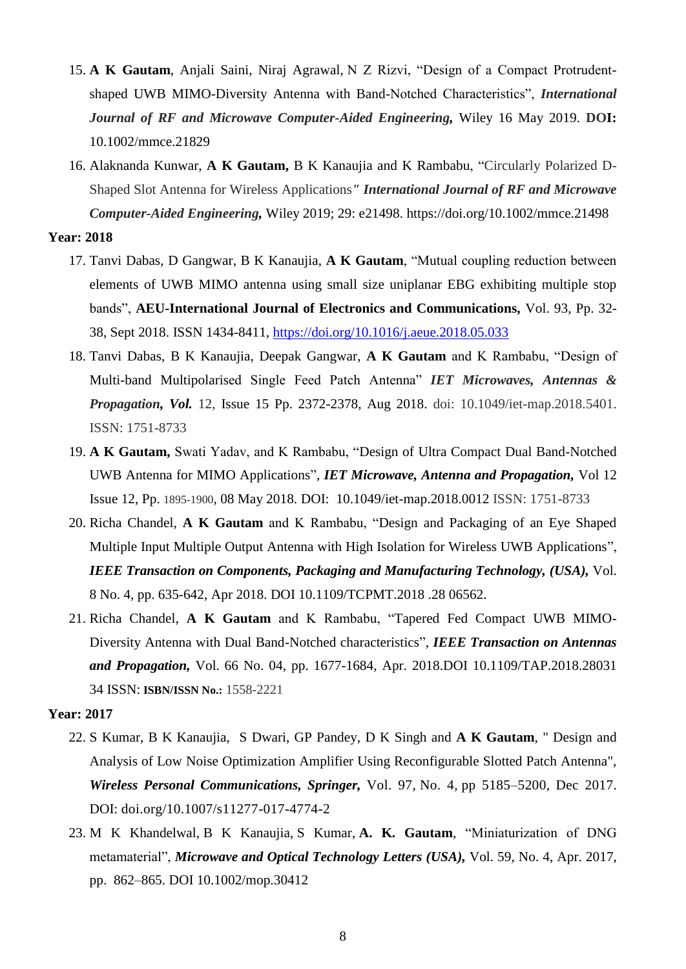- 15. **A K Gautam**, Anjali Saini, Niraj Agrawal, N Z Rizvi, "Design of a Compact Protrudentshaped UWB MIMO-Diversity Antenna with Band-Notched Characteristics", *International Journal of RF and Microwave Computer-Aided Engineering,* Wiley 16 May 2019. **DOI:**  [10.1002/mmce.21829](https://doi.org/10.1002/mmce.21829)
- 16. Alaknanda Kunwar, **A K Gautam,** B K Kanaujia and K Rambabu, "Circularly Polarized D-Shaped Slot Antenna for Wireless Applications*" International Journal of RF and Microwave Computer-Aided Engineering,* Wiley 2019; 29: e21498.<https://doi.org/10.1002/mmce.21498>

- 17. Tanvi Dabas, D Gangwar, B K Kanaujia, **A K Gautam**, "Mutual coupling reduction between elements of UWB MIMO antenna using small size uniplanar EBG exhibiting multiple stop bands", **AEU-International Journal of Electronics and Communications,** Vol. 93, Pp. 32- 38, Sept 2018. ISSN 1434-8411,<https://doi.org/10.1016/j.aeue.2018.05.033>
- 18. Tanvi Dabas, B K Kanaujia, Deepak Gangwar, **A K Gautam** and K Rambabu, "Design of Multi-band Multipolarised Single Feed Patch Antenna" *IET Microwaves, Antennas & Propagation, Vol.* 12, Issue 15 Pp. 2372-2378, Aug 2018. doi: 10.1049/iet-map.2018.5401. ISSN: 1751-8733
- 19. **A K Gautam,** Swati Yadav, and K Rambabu, "Design of Ultra Compact Dual Band-Notched UWB Antenna for MIMO Applications", *IET Microwave, Antenna and Propagation,* Vol 12 Issue 12, Pp. 1895-1900, 08 May 2018. DOI: [10.1049/iet-map.2018.0012](http://dx.doi.org/10.1049/iet-map.2018.0012) ISSN: 1751-8733
- 20. Richa Chandel, **A K Gautam** and K Rambabu, "Design and Packaging of an Eye Shaped Multiple Input Multiple Output Antenna with High Isolation for Wireless UWB Applications", *IEEE Transaction on Components, Packaging and Manufacturing Technology, (USA),* Vol. 8 No. 4, pp. 635-642, Apr 2018. DOI 10.1109/TCPMT.2018 .28 06562.
- 21. Richa Chandel, **A K Gautam** and K Rambabu, "Tapered Fed Compact UWB MIMO-Diversity Antenna with Dual Band-Notched characteristics", *IEEE Transaction on Antennas and Propagation,* Vol. 66 No. 04, pp. 1677-1684, Apr. 2018.DOI 10.1109/TAP.2018.28031 34 ISSN: **ISBN/ISSN No.:** 1558-2221

- 22. S Kumar, B K Kanaujia, S Dwari, GP Pandey, D K Singh and **A K Gautam**, " Design and Analysis of Low Noise Optimization Amplifier Using Reconfigurable Slotted Patch Antenna", *[Wireless Personal Communications,](http://www.springerlink.com/content/0929-6212/) Springer,* Vol. 97, [No. 4,](https://link.springer.com/journal/11277/97/4/page/1) pp 5185–5200, Dec 2017. DOI: doi.org/10.1007/s11277-017-4774-2
- 23. M K Khandelwal, B K Kanaujia, S Kumar, **A. K. Gautam**, "Miniaturization of DNG metamaterial", *Microwave and Optical Technology Letters (USA),* Vol. 59, No. 4, Apr. 2017, pp. 862–865. DOI 10.1002/mop.30412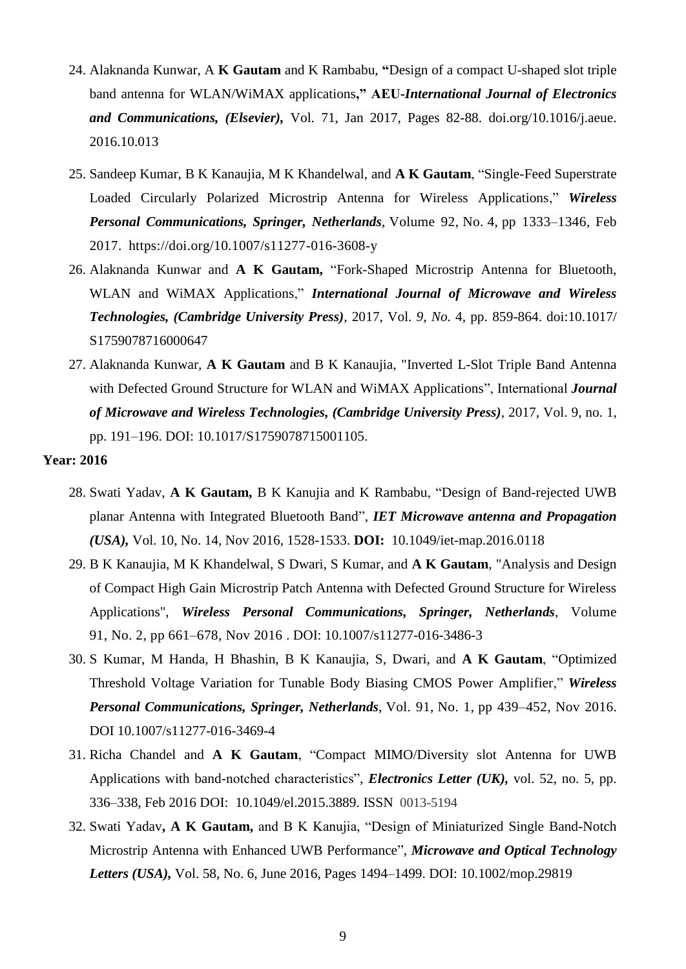- 24. Alaknanda Kunwar, A **K Gautam** and K Rambabu, **"**Design of a compact U-shaped slot triple band antenna for WLAN/WiMAX applications**," AEU-***International Journal of Electronics and Communications, (Elsevier),* [Vol.](http://www.sciencedirect.com/science/journal/14348411/70/3) 71, Jan 2017, Pages 82-88. doi.org/10.1016/j.aeue. 2016.10.013
- 25. Sandeep Kumar, B K Kanaujia, M K Khandelwal, and **A K Gautam**, ["Single-Feed Superstrate](http://scholar.google.co.in/citations?view_op=view_citation&hl=hi&user=5-GFaNYAAAAJ&sortby=pubdate&citation_for_view=5-GFaNYAAAAJ:eJXPG6dFmWUC)  [Loaded Circularly Polarized Microstrip Antenna for Wireless Applications,](http://scholar.google.co.in/citations?view_op=view_citation&hl=hi&user=5-GFaNYAAAAJ&sortby=pubdate&citation_for_view=5-GFaNYAAAAJ:eJXPG6dFmWUC)" *[Wireless](http://www.springerlink.com/content/0929-6212/)  [Personal Communications,](http://www.springerlink.com/content/0929-6212/) Springer, Netherlands*, Volume 92, [No.](https://link.springer.com/journal/11277/92/4/page/1) 4, pp 1333–1346, Feb 2017. https://doi.org/10.1007/s11277-016-3608-y
- 26. Alaknanda Kunwar and **A K Gautam,** "Fork-Shaped Microstrip Antenna for Bluetooth, WLAN and WiMAX Applications," *International Journal of Microwave and Wireless Technologies, (Cambridge University Press),* 2017, Vol. *9, No.* 4, pp. 859-864. doi:10.1017/ S1759078716000647
- 27. Alaknanda Kunwar, **A K Gautam** and B K Kanaujia, "Inverted L-Slot Triple Band Antenna with Defected Ground Structure for WLAN and WiMAX Applications", International *Journal of Microwave and Wireless Technologies, (Cambridge University Press),* 2017, Vol. 9, no. 1, pp. 191–196. DOI: 10.1017/S1759078715001105.

- 28. Swati Yadav, **A K Gautam,** B K Kanujia and K Rambabu, "Design of Band-rejected UWB planar Antenna with Integrated Bluetooth Band", *IET Microwave antenna and Propagation (USA),* Vol. 10, No. 14, Nov 2016, 1528-1533. **DOI:** [10.1049/iet-map.2016.0118](http://dx.doi.org/10.1049/iet-map.2016.0118)
- 29. B K Kanaujia, M K Khandelwal, S Dwari, S Kumar, and **A K Gautam**, "Analysis and Design of Compact High Gain Microstrip Patch Antenna with Defected Ground Structure for Wireless Applications", *[Wireless Personal Communications,](http://www.springerlink.com/content/0929-6212/) Springer, Netherlands*, Volume 91, [No.](https://link.springer.com/journal/11277/91/2/page/1) 2, pp 661–678, Nov 2016 . DOI: 10.1007/s11277-016-3486-3
- 30. S Kumar, M Handa, H Bhashin, B K Kanaujia, S, Dwari, and **A K Gautam**, "Optimized Threshold Voltage Variation for Tunable Body Biasing CMOS Power Amplifier," *[Wireless](http://www.springerlink.com/content/0929-6212/)  [Personal Communications,](http://www.springerlink.com/content/0929-6212/) Springer, Netherlands*, Vol. 91, No. 1, pp 439–452, Nov 2016. DOI 10.1007/s11277-016-3469-4
- 31. Richa Chandel and **A K Gautam**, "Compact MIMO/Diversity slot Antenna for UWB Applications with band-notched characteristics", *Electronics Letter (UK),* vol. 52, no. 5, pp. 336–338, Feb 2016 DOI: [10.1049/el.2015.3889.](http://dx.doi.org/10.1049/el.2015.3889) ISSN 0013-5194
- 32. Swati Yadav**, A K Gautam,** and B K Kanujia, "Design of Miniaturized Single Band-Notch Microstrip Antenna with Enhanced UWB Performance", *Microwave and Optical Technology Letters (USA),* [Vol.](http://www.sciencedirect.com/science/journal/14348411/70/3) 58, No. 6, June 2016, Pages 1494–1499. DOI: 10.1002/mop.29819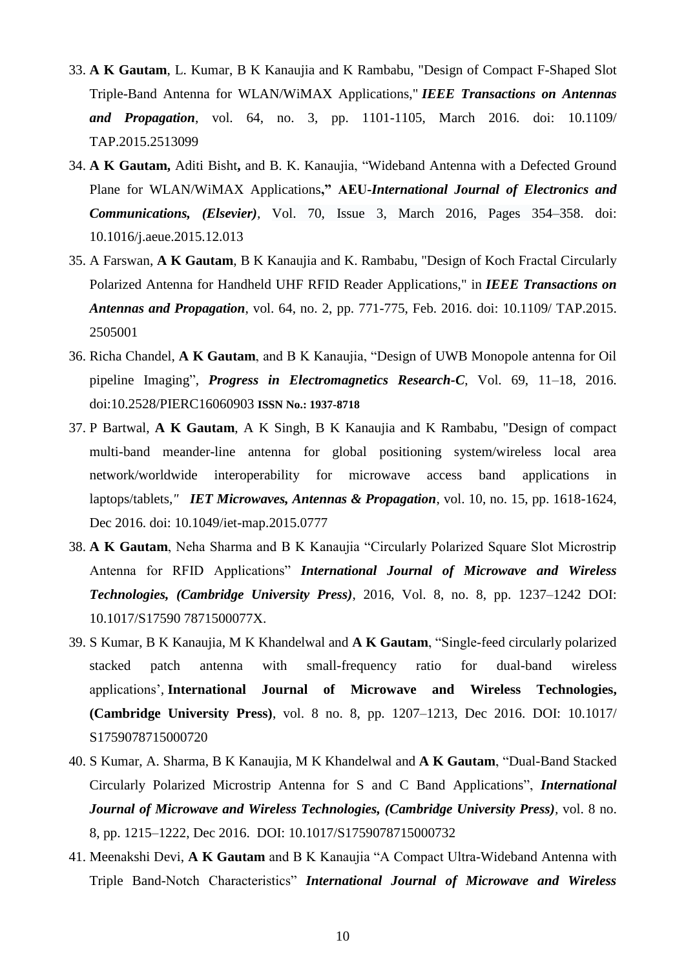- 33. **A K Gautam**, L. Kumar, B K Kanaujia and K Rambabu, "Design of Compact F-Shaped Slot Triple-Band Antenna for WLAN/WiMAX Applications," *IEEE Transactions on Antennas and Propagation*, vol. 64, no. 3, pp. 1101-1105, March 2016. doi: 10.1109/ TAP.2015.2513099
- 34. **A K Gautam,** Aditi Bisht**,** and B. K. Kanaujia, "Wideband Antenna with a Defected Ground Plane for WLAN/WiMAX Applications**," AEU-***International Journal of Electronics and Communications, (Elsevier),* Vol. 70, [Issue](http://www.sciencedirect.com/science/journal/14348411/70/3) 3, March 2016, Pages 354–358. [doi:](http://dx.doi.org/10.1016/j.aeue.2015.12.013) [10.1016/j.aeue.2015.12.013](http://dx.doi.org/10.1016/j.aeue.2015.12.013)
- 35. A Farswan, **A K Gautam**, B K Kanaujia and K. Rambabu, "Design of Koch Fractal Circularly Polarized Antenna for Handheld UHF RFID Reader Applications," in *IEEE Transactions on Antennas and Propagation*, vol. 64, no. 2, pp. 771-775, Feb. 2016. doi: 10.1109/ TAP.2015. 2505001
- 36. Richa Chandel, **A K Gautam**, and B K Kanaujia, "Design of UWB Monopole antenna for Oil pipeline Imaging", *Progress in Electromagnetics Research-C*, Vol. 69, 11–18, 2016. doi:10.2528/PIERC16060903 **ISSN No.: 1937-8718**
- 37. P Bartwal, **A K Gautam**, A K Singh, B K Kanaujia and K Rambabu, "Design of compact multi-band meander-line antenna for global positioning system/wireless local area network/worldwide interoperability for microwave access band applications in laptops/tablets*," IET Microwaves, Antennas & Propagation*, vol. 10, no. 15, pp. 1618-1624, Dec 2016. doi: 10.1049/iet-map.2015.0777
- 38. **A K Gautam**, Neha Sharma and B K Kanaujia "Circularly Polarized Square Slot Microstrip Antenna for RFID Applications" *International Journal of Microwave and Wireless Technologies, (Cambridge University Press)*, 2016, Vol. 8, no. 8, pp. 1237–1242 DOI: 10.1017/S17590 7871500077X.
- 39. S Kumar, B K Kanaujia, M K Khandelwal and **A K Gautam**, "Single-feed circularly polarized stacked patch antenna with small-frequency ratio for dual-band wireless applications"*,* **International Journal of Microwave and Wireless Technologies, (Cambridge University Press)**, vol. 8 no. 8, pp. 1207–1213, Dec 2016. DOI: 10.1017/ S1759078715000720
- 40. S Kumar, A. Sharma, B K Kanaujia, M K Khandelwal and **A K Gautam**, "Dual-Band Stacked Circularly Polarized Microstrip Antenna for S and C Band Applications", *International Journal of Microwave and Wireless Technologies, (Cambridge University Press),* vol. 8 no. 8, pp. 1215–1222, Dec 2016. DOI: 10.1017/S1759078715000732
- 41. Meenakshi Devi, **A K Gautam** and B K Kanaujia "A Compact Ultra-Wideband Antenna with Triple Band-Notch Characteristics" *International Journal of Microwave and Wireless*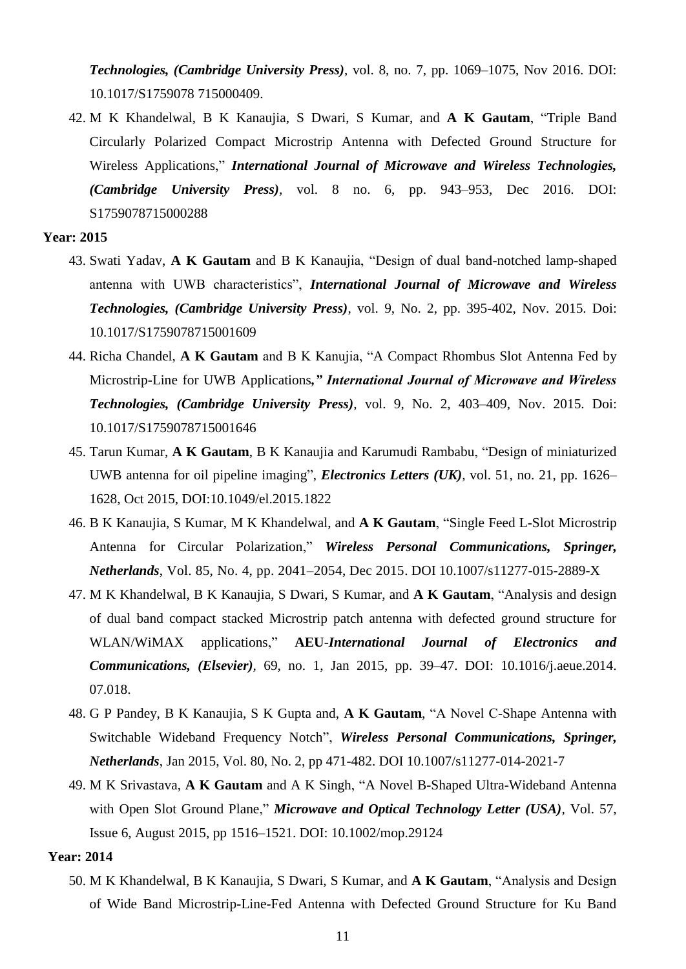*Technologies, (Cambridge University Press)*, vol. 8, no. 7, pp. 1069–1075, Nov 2016. DOI: 10.1017/S1759078 715000409.

42. M K Khandelwal, B K Kanaujia, S Dwari, S Kumar, and **A K Gautam**, ["Triple Band](http://www.sciencedirect.com/science/article/pii/S1434841114002088)  [Circularly Polarized Compact Microstrip Antenna with Defected Ground Structure for](http://www.sciencedirect.com/science/article/pii/S1434841114002088)  [Wireless Applications,](http://www.sciencedirect.com/science/article/pii/S1434841114002088)" *International Journal of Microwave and Wireless Technologies, (Cambridge University Press),* vol. 8 no. 6, pp. 943–953, Dec 2016. DOI: S1759078715000288

#### **Year: 2015**

- 43. Swati Yadav, **A K Gautam** and B K Kanaujia, "Design of dual band-notched lamp-shaped antenna with UWB characteristics", *International Journal of Microwave and Wireless Technologies, (Cambridge University Press)*, vol. 9, No. 2, pp. 395-402, Nov. 2015. Doi: 10.1017/S1759078715001609
- 44. Richa Chandel, **A K Gautam** and B K Kanujia, "A Compact Rhombus Slot Antenna Fed by Microstrip-Line for UWB Applications*," International Journal of Microwave and Wireless Technologies, (Cambridge University Press)*, vol. 9, No. 2, 403–409*,* Nov. 2015. Doi: 10.1017/S1759078715001646
- 45. Tarun Kumar, **A K Gautam**, B K Kanaujia and Karumudi Rambabu, "Design of miniaturized UWB antenna for oil pipeline imaging", *Electronics Letters (UK),* vol. 51, no. 21, pp. 1626– 1628, Oct 2015*,* DOI[:10.1049/el.2015.1822](http://dx.doi.org/10.1049/el.2015.1822)
- 46. B K Kanaujia, S Kumar, M K Khandelwal, and **A K Gautam**, "Single Feed L-Slot Microstrip Antenna for Circular Polarization," *[Wireless Personal Communications,](http://www.springerlink.com/content/0929-6212/) Springer, Netherlands*, Vol. 85, [No.](https://link.springer.com/journal/11277/85/4/page/1) 4, pp. 2041–2054, Dec 2015. DOI 10.1007/s11277-015-2889-X
- 47. M K Khandelwal, B K Kanaujia, S Dwari, S Kumar, and **A K Gautam**, ["Analysis and design](http://www.sciencedirect.com/science/article/pii/S1434841114002088)  [of dual band compact stacked Microstrip patch antenna with defected ground structure for](http://www.sciencedirect.com/science/article/pii/S1434841114002088)  [WLAN/WiMAX applications,](http://www.sciencedirect.com/science/article/pii/S1434841114002088)" **AEU**-*International Journal of Electronics and Communications, (Elsevier),* 69, no. 1, Jan 2015, pp. 39–47. DOI: 10.1016/j.aeue.2014. 07.018.
- 48. G P Pandey, B K Kanaujia, S K Gupta and, **A K Gautam**, "A Novel C-Shape Antenna with Switchable Wideband Frequency Notch", *[Wireless Personal Communications,](http://www.springerlink.com/content/0929-6212/) Springer, Netherlands*, Jan 2015, Vol. 80, No. 2, pp 471-482. DOI 10.1007/s11277-014-2021-7
- 49. M K Srivastava, **A K Gautam** and A K Singh, "A Novel B-Shaped Ultra-Wideband Antenna with Open Slot Ground Plane," *Microwave and Optical Technology Letter (USA),* Vol. 57, Issue 6, August 2015, pp 1516–1521. DOI: 10.1002/mop.29124

#### **Year: 2014**

50. M K Khandelwal, B K Kanaujia, S Dwari, S Kumar, and **A K Gautam**, "Analysis and Design of Wide Band Microstrip-Line-Fed Antenna with Defected Ground Structure for Ku Band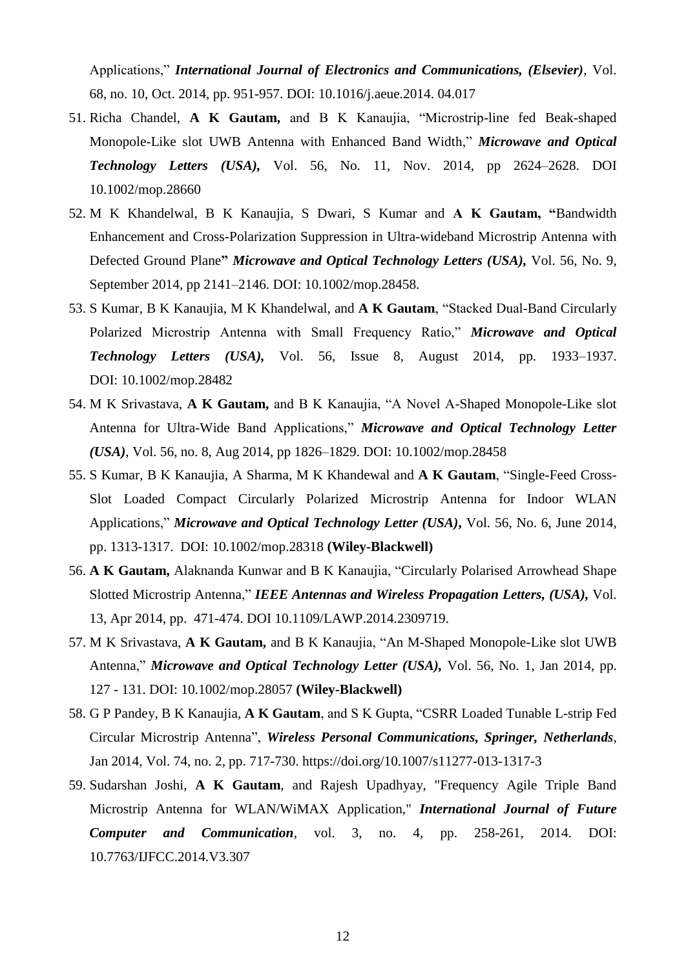Applications," *International Journal of Electronics and Communications, (Elsevier)*, Vol. 68, no. 10, Oct. 2014, pp. 951-957. DOI: 10.1016/j.aeue.2014. 04.017

- 51. Richa Chandel, **A K Gautam,** and B K Kanaujia, "Microstrip-line fed Beak-shaped Monopole-Like slot UWB Antenna with Enhanced Band Width," *Microwave and Optical Technology Letters (USA),* Vol. 56, No. 11, Nov. 2014, pp 2624–2628. DOI 10.1002/mop.28660
- 52. M K Khandelwal, B K Kanaujia, S Dwari, S Kumar and **A K Gautam, "**Bandwidth Enhancement and Cross-Polarization Suppression in Ultra-wideband Microstrip Antenna with Defected Ground Plane**"** *Microwave and Optical Technology Letters (USA),* Vol. 56, No. 9, September 2014, pp 2141–2146. DOI: 10.1002/mop.28458.
- 53. S Kumar, B K Kanaujia, M K Khandelwal, and **A K Gautam**, "Stacked Dual-Band Circularly Polarized Microstrip Antenna with Small Frequency Ratio," *Microwave and Optical Technology Letters (USA),* Vol. 56, Issue 8, August 2014, pp. 1933–1937. DOI: 10.1002/mop.28482
- 54. M K Srivastava, **A K Gautam,** and B K Kanaujia, "A Novel A-Shaped Monopole-Like slot Antenna for Ultra-Wide Band Applications," *Microwave and Optical Technology Letter (USA)*, Vol. 56, no. 8, Aug 2014, pp 1826–1829. DOI: 10.1002/mop.28458
- 55. S Kumar, B K Kanaujia, A Sharma, M K Khandewal and **A K Gautam**, "Single-Feed Cross-Slot Loaded Compact Circularly Polarized Microstrip Antenna for Indoor WLAN Applications," *Microwave and Optical Technology Letter (USA)***,** Vol. 56, No. 6, June 2014, pp. 1313-1317. DOI: 10.1002/mop.28318 **(Wiley-Blackwell)**
- 56. **A K Gautam,** Alaknanda Kunwar and B K Kanaujia, "Circularly Polarised Arrowhead Shape Slotted Microstrip Antenna," *IEEE Antennas and Wireless Propagation Letters, (USA),* Vol. 13, Apr 2014, pp. 471-474. DOI 10.1109/LAWP.2014.2309719.
- 57. M K Srivastava, **A K Gautam,** and B K Kanaujia, "An M-Shaped Monopole-Like slot UWB Antenna," *Microwave and Optical Technology Letter (USA),* Vol. 56, No. 1, Jan 2014, pp. 127 - 131. DOI: 10.1002/mop.28057 **(Wiley-Blackwell)**
- 58. G P Pandey, B K Kanaujia, **A K Gautam**, and S K Gupta, "CSRR Loaded Tunable L-strip Fed Circular Microstrip Antenna", *[Wireless Personal Communications,](http://www.springerlink.com/content/0929-6212/) Springer, Netherlands,*  Jan 2014, Vol. 74, [no. 2,](http://link.springer.com/journal/11277/74/2/page/1) pp. 717-730. https://doi.org/10.1007/s11277-013-1317-3
- 59. Sudarshan Joshi, **A K Gautam**, and Rajesh Upadhyay, "Frequency Agile Triple Band Microstrip Antenna for WLAN/WiMAX Application," *International Journal of Future Computer and Communication*, vol. 3, no. 4, pp. 258-261, 2014. DOI: 10.7763/IJFCC.2014.V3.307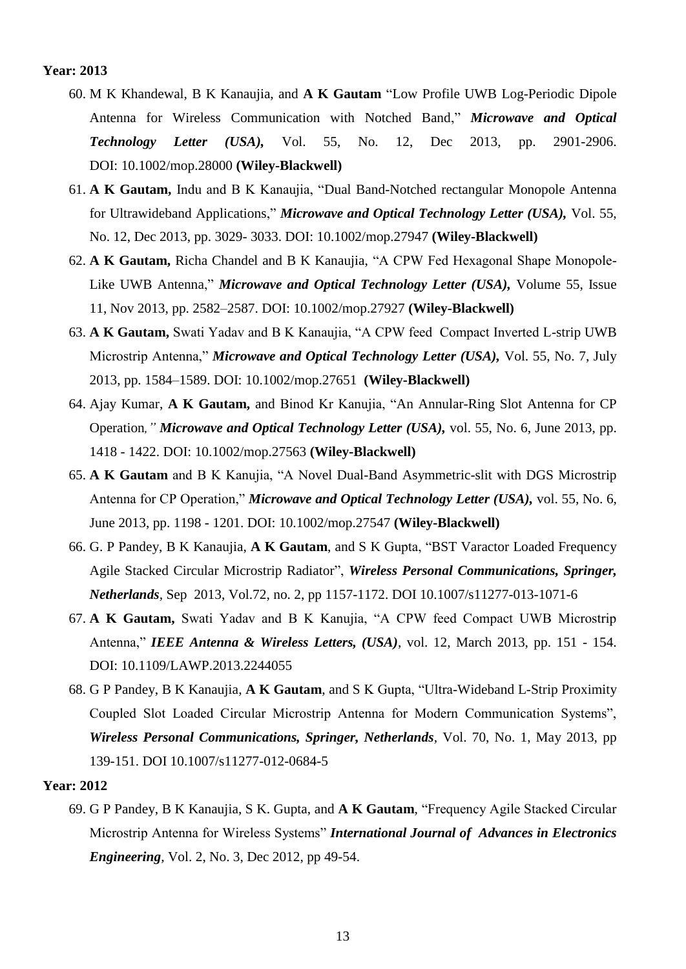- 60. M K Khandewal, B K Kanaujia, and **A K Gautam** "Low Profile UWB Log-Periodic Dipole Antenna for Wireless Communication with Notched Band," *Microwave and Optical Technology Letter (USA),* Vol. 55, No. 12, Dec 2013, pp. 2901-2906. DOI: 10.1002/mop.28000 **(Wiley-Blackwell)**
- 61. **A K Gautam,** Indu and B K Kanaujia, "Dual Band-Notched rectangular Monopole Antenna for Ultrawideband Applications," *Microwave and Optical Technology Letter (USA),* Vol. 55, No. 12, Dec 2013, pp. 3029- 3033. DOI: 10.1002/mop.27947 **(Wiley-Blackwell)**
- 62. **A K Gautam,** Richa Chandel and B K Kanaujia, "A CPW Fed Hexagonal Shape Monopole-Like UWB Antenna," *Microwave and Optical Technology Letter (USA),* Volume 55, Issue 11, Nov 2013, pp. 2582–2587. DOI: 10.1002/mop.27927 **(Wiley-Blackwell)**
- 63. **A K Gautam,** Swati Yadav and B K Kanaujia, "A CPW feed Compact Inverted L-strip UWB Microstrip Antenna," *Microwave and Optical Technology Letter (USA),* Vol. 55, No. 7, July 2013, pp. 1584–1589. DOI: 10.1002/mop.27651 **(Wiley-Blackwell)**
- 64. Ajay Kumar, **A K Gautam,** and Binod Kr Kanujia, "An Annular-Ring Slot Antenna for CP Operation*," Microwave and Optical Technology Letter (USA),* vol. 55, No. 6, June 2013, pp. 1418 - 1422. DOI: 10.1002/mop.27563 **(Wiley-Blackwell)**
- 65. **A K Gautam** and B K Kanujia, "A Novel Dual-Band Asymmetric-slit with DGS Microstrip Antenna for CP Operation," *Microwave and Optical Technology Letter (USA),* vol. 55, No. 6, June 2013, pp. 1198 - 1201. DOI: 10.1002/mop.27547 **(Wiley-Blackwell)**
- 66. G. P Pandey, B K Kanaujia, **A K Gautam**, and S K Gupta, "BST Varactor Loaded Frequency Agile Stacked Circular Microstrip Radiator", *[Wireless Personal Communications,](http://www.springerlink.com/content/0929-6212/) Springer, Netherlands,* Sep 2013, Vol.72, no. 2, pp 1157-1172. DOI 10.1007/s11277-013-1071-6
- 67. **A K Gautam,** Swati Yadav and B K Kanujia, "A CPW feed Compact UWB Microstrip Antenna," *IEEE Antenna & Wireless Letters, (USA)*, vol. 12, March 2013, pp. 151 - 154. DOI: 10.1109/LAWP.2013.2244055
- 68. G P Pandey, B K Kanaujia, **A K Gautam**, and S K Gupta, "Ultra-Wideband L-Strip Proximity Coupled Slot Loaded Circular Microstrip Antenna for Modern Communication Systems", *[Wireless Personal Communications,](http://www.springerlink.com/content/0929-6212/) Springer, Netherlands,* Vol. 70, No. 1, May 2013, pp 139-151. DOI 10.1007/s11277-012-0684-5

#### **Year: 2012**

69. G P Pandey, B K Kanaujia, S K. Gupta, and **A K Gautam**, "Frequency Agile Stacked Circular Microstrip Antenna for Wireless Systems" *International Journal of Advances in Electronics Engineering,* Vol. 2, No. 3, Dec 2012, pp 49-54.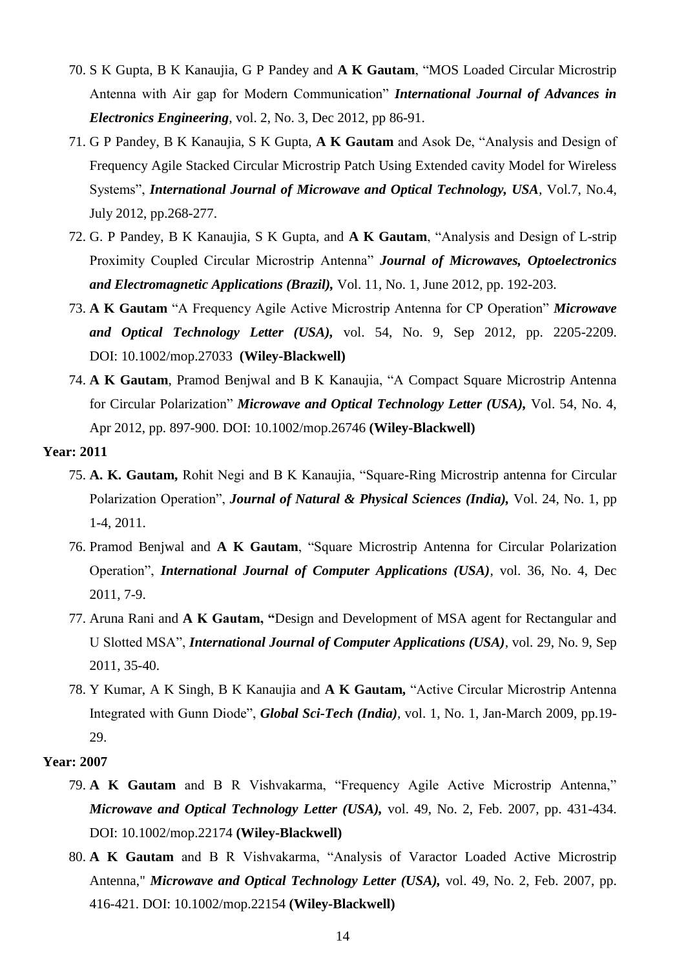- 70. S K Gupta, B K Kanaujia, G P Pandey and **A K Gautam**, "MOS Loaded Circular Microstrip Antenna with Air gap for Modern Communication" *International Journal of Advances in Electronics Engineering,* vol. 2, No. 3, Dec 2012, pp 86-91.
- 71. G P Pandey, B K Kanaujia, S K Gupta, **A K Gautam** and Asok De, "Analysis and Design of Frequency Agile Stacked Circular Microstrip Patch Using Extended cavity Model for Wireless Systems", *International Journal of Microwave and Optical Technology, USA,* Vol.7, No.4, July 2012, pp.268-277.
- 72. G. P Pandey, B K Kanaujia, S K Gupta, and **A K Gautam**, "Analysis and Design of L-strip Proximity Coupled Circular Microstrip Antenna" *Journal of Microwaves, Optoelectronics and Electromagnetic Applications (Brazil),* Vol. 11, No. 1, June 2012, pp. 192-203.
- 73. **A K Gautam** "A Frequency Agile Active Microstrip Antenna for CP Operation" *Microwave and Optical Technology Letter (USA),* vol. 54, No. 9, Sep 2012, pp. 2205-2209. DOI: 10.1002/mop.27033 **(Wiley-Blackwell)**
- 74. **A K Gautam**, Pramod Benjwal and B K Kanaujia, "A Compact Square Microstrip Antenna for Circular Polarization" *Microwave and Optical Technology Letter (USA),* Vol. 54, No. 4, Apr 2012, pp. 897-900. DOI: 10.1002/mop.26746 **(Wiley-Blackwell)**

- 75. **A. K. Gautam,** Rohit Negi and B K Kanaujia, "Square-Ring Microstrip antenna for Circular Polarization Operation", *Journal of Natural & Physical Sciences (India),* Vol. 24, No. 1, pp 1-4, 2011.
- 76. Pramod Benjwal and **A K Gautam**, "Square Microstrip Antenna for Circular Polarization Operation", *International Journal of Computer Applications (USA),* vol. 36, No. 4, Dec 2011, 7-9.
- 77. Aruna Rani and **A K Gautam, "**Design and Development of MSA agent for Rectangular and U Slotted MSA", *International Journal of Computer Applications (USA),* vol. 29, No. 9, Sep 2011, 35-40.
- 78. Y Kumar, A K Singh, B K Kanaujia and **A K Gautam,** "Active Circular Microstrip Antenna Integrated with Gunn Diode", *Global Sci-Tech (India),* vol. 1, No. 1, Jan-March 2009, pp.19- 29.

- 79. **A K Gautam** and B R Vishvakarma, "Frequency Agile Active Microstrip Antenna," *Microwave and Optical Technology Letter (USA),* vol. 49, No. 2, Feb. 2007, pp. 431-434. DOI: 10.1002/mop.22174 **(Wiley-Blackwell)**
- 80. **A K Gautam** and B R Vishvakarma, "Analysis of Varactor Loaded Active Microstrip Antenna," *Microwave and Optical Technology Letter (USA),* vol. 49, No. 2, Feb. 2007, pp. 416-421. DOI: 10.1002/mop.22154 **(Wiley-Blackwell)**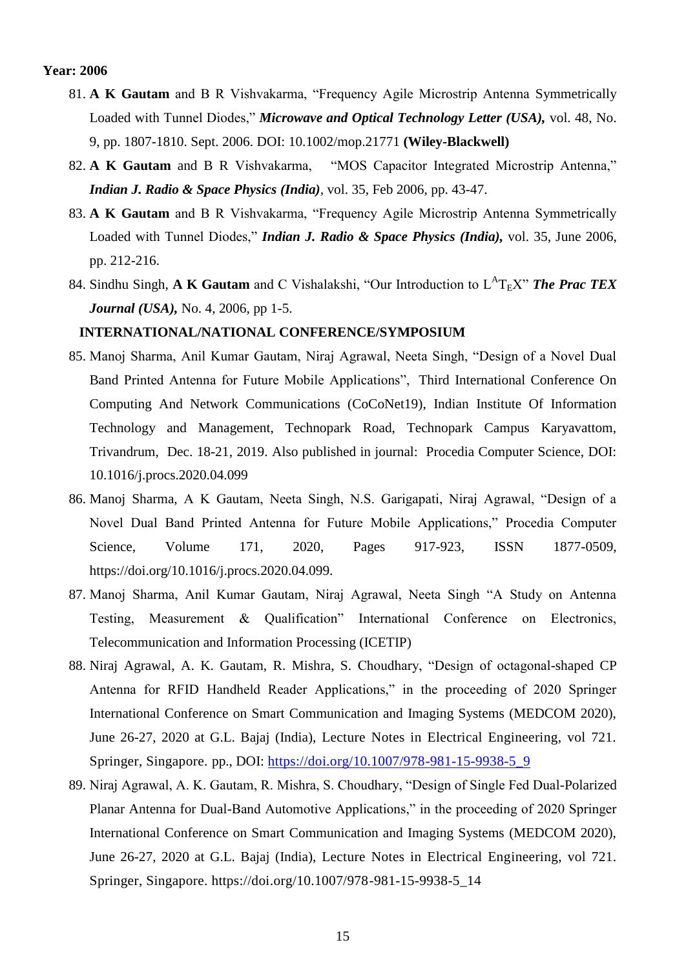- 81. **A K Gautam** and B R Vishvakarma, "Frequency Agile Microstrip Antenna Symmetrically Loaded with Tunnel Diodes," *Microwave and Optical Technology Letter (USA),* vol. 48, No. 9, pp. 1807-1810. Sept. 2006. DOI: 10.1002/mop.21771 **(Wiley-Blackwell)**
- 82. **A K Gautam** and B R Vishvakarma, "MOS Capacitor Integrated Microstrip Antenna," *Indian J. Radio & Space Physics (India),* vol. 35, Feb 2006, pp. 43-47.
- 83. **A K Gautam** and B R Vishvakarma, "Frequency Agile Microstrip Antenna Symmetrically Loaded with Tunnel Diodes," *Indian J. Radio & Space Physics (India),* vol. 35, June 2006, pp. 212-216.
- 84. Sindhu Singh, A K Gautam and C Vishalakshi, "Our Introduction to  $L^{A}T_{E}X$ " The Prac TEX *Journal (USA),* No. 4, 2006, pp 1-5.

#### **INTERNATIONAL/NATIONAL CONFERENCE/SYMPOSIUM**

- 85. Manoj Sharma, Anil Kumar Gautam, Niraj Agrawal, Neeta Singh, "Design of a Novel Dual Band Printed Antenna for Future Mobile Applications", [Third International Conference On](http://email.explara.com/track/click/30064640/in.explara.com?p=eyJzIjoibHhjQ1BDYjN0ckNQcWZSWkxJZUhKM1ljMTNvIiwidiI6MSwicCI6IntcInVcIjozMDA2NDY0MCxcInZcIjoxLFwidXJsXCI6XCJodHRwczpcXFwvXFxcL2luLmV4cGxhcmEuY29tXFxcL2VcXFwvY29jb25ldC0xOVwiLFwiaWRcIjpcIjdhMTE0ZjQ2YTczYTQ4M2Y5NzM3NTFiODg0MjRjNDE5XCIsXCJ1cmxfaWRzXCI6W1wiOTBkYmRiZDJjNTgyZmU2N2JjYTFkYTkzYjc3MDQ2NTQ0N2VhM2E4NlwiXX0ifQ)  [Computing And Network Communications \(CoCoNet19\),](http://email.explara.com/track/click/30064640/in.explara.com?p=eyJzIjoibHhjQ1BDYjN0ckNQcWZSWkxJZUhKM1ljMTNvIiwidiI6MSwicCI6IntcInVcIjozMDA2NDY0MCxcInZcIjoxLFwidXJsXCI6XCJodHRwczpcXFwvXFxcL2luLmV4cGxhcmEuY29tXFxcL2VcXFwvY29jb25ldC0xOVwiLFwiaWRcIjpcIjdhMTE0ZjQ2YTczYTQ4M2Y5NzM3NTFiODg0MjRjNDE5XCIsXCJ1cmxfaWRzXCI6W1wiOTBkYmRiZDJjNTgyZmU2N2JjYTFkYTkzYjc3MDQ2NTQ0N2VhM2E4NlwiXX0ifQ) Indian Institute Of Information Technology and Management, Technopark Road, Technopark Campus Karyavattom, Trivandrum, Dec. 18-21, 2019. Also published in journal: Procedia Computer Science, DOI: 10.1016/j.procs.2020.04.099
- 86. Manoj Sharma, A K Gautam, Neeta Singh, N.S. Garigapati, Niraj Agrawal, "Design of a Novel Dual Band Printed Antenna for Future Mobile Applications," Procedia Computer Science, Volume 171, 2020, Pages 917-923, ISSN 1877-0509, https://doi.org/10.1016/j.procs.2020.04.099.
- 87. Manoj Sharma, Anil Kumar Gautam, Niraj Agrawal, Neeta Singh "A Study on Antenna Testing, Measurement & Qualification" International Conference on Electronics, Telecommunication and Information Processing (ICETIP)
- 88. Niraj Agrawal, A. K. Gautam, R. Mishra, S. Choudhary, "Design of octagonal-shaped CP Antenna for RFID Handheld Reader Applications," in the proceeding of 2020 Springer International Conference on Smart Communication and Imaging Systems (MEDCOM 2020), June 26-27, 2020 at G.L. Bajaj (India), Lecture Notes in Electrical Engineering, vol 721. Springer, Singapore. pp., DOI: [https://doi.org/10.1007/978-981-15-9938-5\\_9](https://doi.org/10.1007/978-981-15-9938-5_9)
- 89. Niraj Agrawal, A. K. Gautam, R. Mishra, S. Choudhary, "Design of Single Fed Dual-Polarized Planar Antenna for Dual-Band Automotive Applications," in the proceeding of 2020 Springer International Conference on Smart Communication and Imaging Systems (MEDCOM 2020), June 26-27, 2020 at G.L. Bajaj (India), Lecture Notes in Electrical Engineering, vol 721. Springer, Singapore. https://doi.org/10.1007/978-981-15-9938-5\_14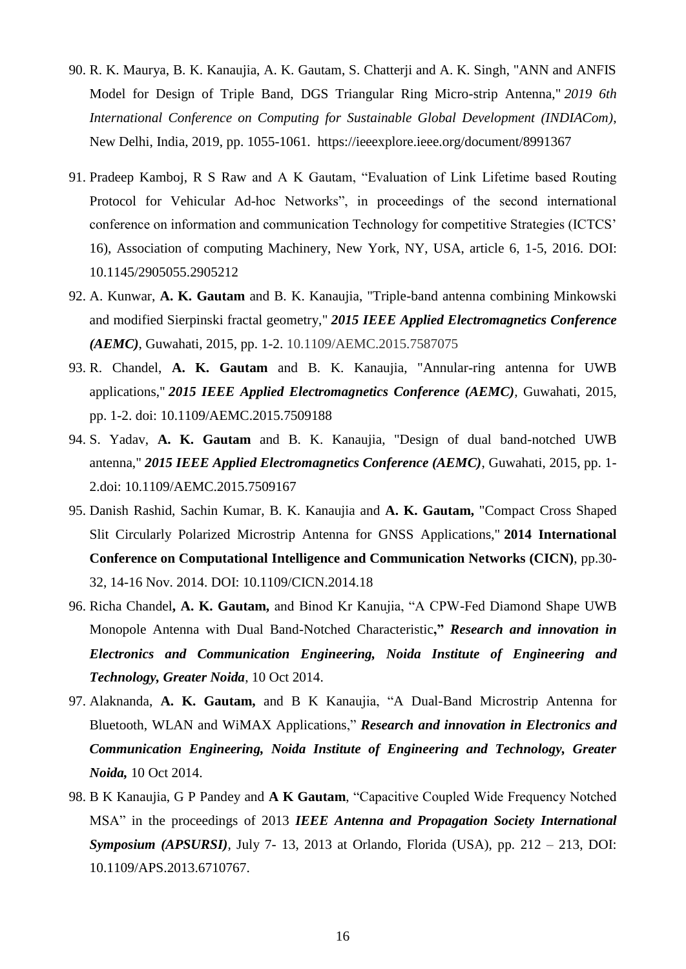- 90. R. K. Maurya, B. K. Kanaujia, A. K. Gautam, S. Chatterji and A. K. Singh, "ANN and ANFIS Model for Design of Triple Band, DGS Triangular Ring Micro-strip Antenna," *2019 6th International Conference on Computing for Sustainable Global Development (INDIACom)*, New Delhi, India, 2019, pp. 1055-1061. <https://ieeexplore.ieee.org/document/8991367>
- 91. Pradeep Kamboj, R S Raw and A K Gautam, "Evaluation of Link Lifetime based Routing Protocol for Vehicular Ad-hoc Networks", in proceedings of the second international conference on information and communication Technology for competitive Strategies (ICTCS" 16), Association of computing Machinery, New York, NY, USA, article 6, 1-5, 2016. DOI: 10.1145/2905055.2905212
- 92. A. Kunwar, **A. K. Gautam** and B. K. Kanaujia, "Triple-band antenna combining Minkowski and modified Sierpinski fractal geometry," *2015 IEEE Applied Electromagnetics Conference (AEMC)*, Guwahati, 2015, pp. 1-2. [10.1109/AEMC.2015.7587075](https://doi.org/10.1109/AEMC.2015.7587075)
- 93. R. Chandel, **A. K. Gautam** and B. K. Kanaujia, "Annular-ring antenna for UWB applications," *2015 IEEE Applied Electromagnetics Conference (AEMC),* Guwahati, 2015, pp. 1-2. doi: 10.1109/AEMC.2015.7509188
- 94. S. Yadav, **A. K. Gautam** and B. K. Kanaujia, "Design of dual band-notched UWB antenna," *2015 IEEE Applied Electromagnetics Conference (AEMC)*, Guwahati, 2015, pp. 1- 2.doi: 10.1109/AEMC.2015.7509167
- 95. Danish Rashid, Sachin Kumar, B. K. Kanaujia and **A. K. Gautam,** "Compact Cross Shaped Slit Circularly Polarized Microstrip Antenna for GNSS Applications," **2014 International Conference on Computational Intelligence and Communication Networks (CICN)**, pp.30- 32, 14-16 Nov. 2014. DOI: 10.1109/CICN.2014.18
- 96. Richa Chandel**, A. K. Gautam,** and Binod Kr Kanujia, "A CPW-Fed Diamond Shape UWB Monopole Antenna with Dual Band-Notched Characteristic**,"** *Research and innovation in Electronics and Communication Engineering, Noida Institute of Engineering and Technology, Greater Noida*, 10 Oct 2014.
- 97. Alaknanda, **A. K. Gautam,** and B K Kanaujia, "A Dual-Band Microstrip Antenna for Bluetooth, WLAN and WiMAX Applications," *Research and innovation in Electronics and Communication Engineering, Noida Institute of Engineering and Technology, Greater Noida,* 10 Oct 2014.
- 98. B K Kanaujia, G P Pandey and **A K Gautam**, "Capacitive Coupled Wide Frequency Notched MSA" in the proceedings of 2013 *IEEE Antenna and Propagation Society International Symposium (APSURSI),* July 7- 13, 2013 at Orlando, Florida (USA), pp. 212 – 213, DOI: 10.1109/APS.2013.6710767.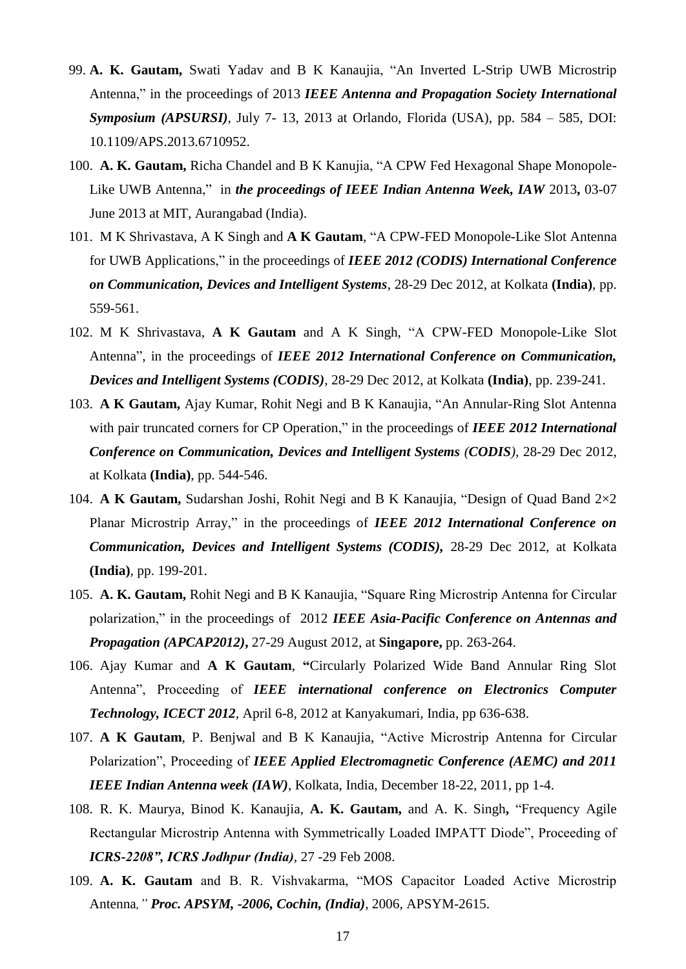- 99. **A. K. Gautam,** Swati Yadav and B K Kanaujia, "An Inverted L-Strip UWB Microstrip Antenna," in the proceedings of 2013 *IEEE Antenna and Propagation Society International Symposium (APSURSI),* July 7- 13, 2013 at Orlando, Florida (USA), pp. 584 – 585, DOI: [10.1109/APS.2013.6710952.](http://dx.doi.org/10.1109/APS.2013.6710952)
- 100. **A. K. Gautam,** Richa Chandel and B K Kanujia, "A CPW Fed Hexagonal Shape Monopole-Like UWB Antenna," in *the proceedings of IEEE Indian Antenna Week, IAW* 2013**,** 03-07 June 2013 at MIT, Aurangabad (India).
- 101. M K Shrivastava, A K Singh and **A K Gautam**, "A CPW-FED Monopole-Like Slot Antenna for UWB Applications," in the proceedings of *IEEE 2012 (CODIS) International Conference on Communication, Devices and Intelligent Systems*, 28-29 Dec 2012, at Kolkata **(India)**, pp. 559-561.
- 102. M K Shrivastava, **A K Gautam** and A K Singh, "A CPW-FED Monopole-Like Slot Antenna", in the proceedings of *IEEE 2012 International Conference on Communication, Devices and Intelligent Systems (CODIS)*, 28-29 Dec 2012, at Kolkata **(India)**, pp. 239-241.
- 103. **A K Gautam,** Ajay Kumar, Rohit Negi and B K Kanaujia, "An Annular-Ring Slot Antenna with pair truncated corners for CP Operation," in the proceedings of *IEEE 2012 International Conference on Communication, Devices and Intelligent Systems (CODIS),* 28-29 Dec 2012, at Kolkata **(India)**, pp. 544-546.
- 104. **A K Gautam,** Sudarshan Joshi, Rohit Negi and B K Kanaujia, "Design of Quad Band 2×2 Planar Microstrip Array," in the proceedings of *IEEE 2012 International Conference on Communication, Devices and Intelligent Systems (CODIS),* 28-29 Dec 2012, at Kolkata **(India)**, pp. 199-201.
- 105. **A. K. Gautam,** Rohit Negi and B K Kanaujia, "Square Ring Microstrip Antenna for Circular polarization," in the proceedings of 2012 *IEEE Asia-Pacific Conference on Antennas and Propagation (APCAP2012)***,** 27-29 August 2012, at **Singapore,** pp. 263-264.
- 106. Ajay Kumar and **A K Gautam**, **"**Circularly Polarized Wide Band Annular Ring Slot Antenna", Proceeding of *IEEE international conference on Electronics Computer Technology, ICECT 2012*, April 6-8, 2012 at Kanyakumari, India, pp 636-638.
- 107. **A K Gautam**, P. Benjwal and B K Kanaujia, "Active Microstrip Antenna for Circular Polarization", Proceeding of *IEEE Applied Electromagnetic Conference (AEMC) and 2011 IEEE Indian Antenna week (IAW)*, Kolkata, India, December 18-22, 2011, pp 1-4.
- 108. R. K. Maurya, Binod K. Kanaujia, **A. K. Gautam,** and A. K. Singh**,** "Frequency Agile Rectangular Microstrip Antenna with Symmetrically Loaded IMPATT Diode", Proceeding of *ICRS-2208", ICRS Jodhpur (India),* 27 -29 Feb 2008.
- 109. **A. K. Gautam** and B. R. Vishvakarma, "MOS Capacitor Loaded Active Microstrip Antenna*," Proc. APSYM, -2006, Cochin, (India),* 2006, APSYM-2615.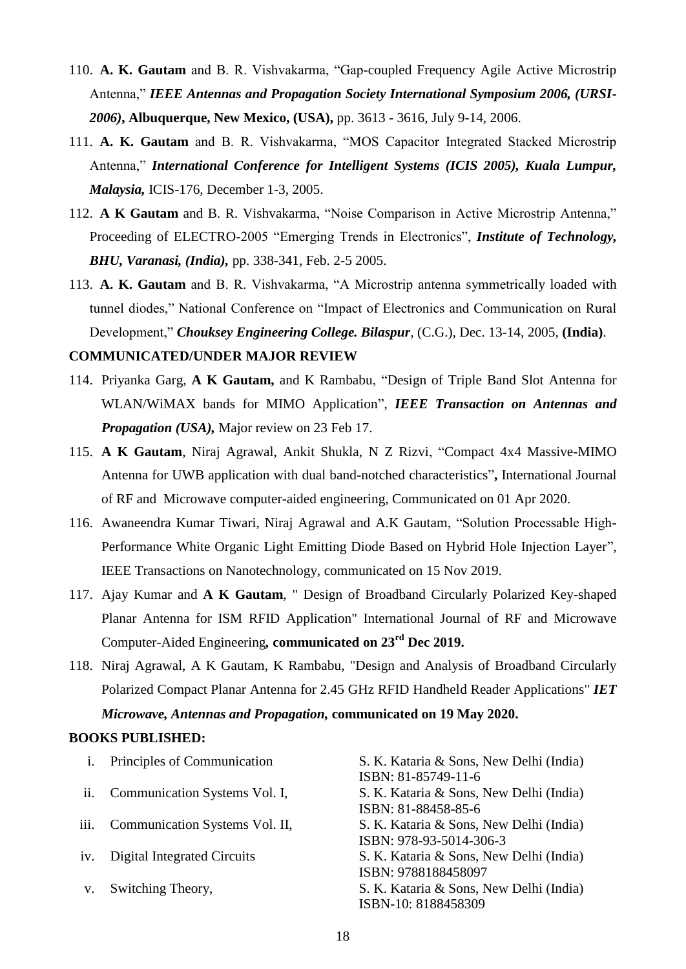- 110. **A. K. Gautam** and B. R. Vishvakarma, "Gap-coupled Frequency Agile Active Microstrip Antenna," *IEEE Antennas and Propagation Society International Symposium 2006, (URSI-2006)***, Albuquerque, New Mexico, (USA),** pp. 3613 - 3616, July 9-14, 2006.
- 111. **A. K. Gautam** and B. R. Vishvakarma, "MOS Capacitor Integrated Stacked Microstrip Antenna," *International Conference for Intelligent Systems (ICIS 2005), Kuala Lumpur, Malaysia,* ICIS-176, December 1-3, 2005.
- 112. **A K Gautam** and B. R. Vishvakarma, "Noise Comparison in Active Microstrip Antenna," Proceeding of ELECTRO-2005 "Emerging Trends in Electronics", *Institute of Technology, BHU, Varanasi, (India),* pp. 338-341, Feb. 2-5 2005.
- 113. **A. K. Gautam** and B. R. Vishvakarma, "A Microstrip antenna symmetrically loaded with tunnel diodes," National Conference on "Impact of Electronics and Communication on Rural Development," *Chouksey Engineering College. Bilaspur,* (C.G.), Dec. 13-14, 2005, **(India)**.

#### **COMMUNICATED/UNDER MAJOR REVIEW**

- 114. Priyanka Garg, **A K Gautam,** and K Rambabu, "Design of Triple Band Slot Antenna for WLAN/WiMAX bands for MIMO Application", *IEEE Transaction on Antennas and Propagation (USA),* Major review on 23 Feb 17.
- 115. **A K Gautam**, Niraj Agrawal, Ankit Shukla, N Z Rizvi, "Compact 4x4 Massive-MIMO Antenna for UWB application with dual band-notched characteristics"**,** International Journal of RF and Microwave computer-aided engineering*,* Communicated on 01 Apr 2020.
- 116. Awaneendra Kumar Tiwari, Niraj Agrawal and A.K Gautam, "Solution Processable High-Performance White Organic Light Emitting Diode Based on Hybrid Hole Injection Layer", IEEE Transactions on Nanotechnology, communicated on 15 Nov 2019.
- 117. Ajay Kumar and **A K Gautam**, " Design of Broadband Circularly Polarized Key-shaped Planar Antenna for ISM RFID Application" International Journal of RF and Microwave Computer-Aided Engineering*,* **communicated on 23rd Dec 2019.**
- 118. Niraj Agrawal, A K Gautam, K Rambabu, "Design and Analysis of Broadband Circularly Polarized Compact Planar Antenna for 2.45 GHz RFID Handheld Reader Applications" *IET Microwave, Antennas and Propagation,* **communicated on 19 May 2020.**

#### **BOOKS PUBLISHED:**

| $\mathbf{i}$ . | Principles of Communication    | S. K. Kataria & Sons, New Delhi (India)<br>ISBN: 81-85749-11-6     |
|----------------|--------------------------------|--------------------------------------------------------------------|
| ii.            | Communication Systems Vol. I,  | S. K. Kataria & Sons, New Delhi (India)<br>ISBN: 81-88458-85-6     |
| iii.           | Communication Systems Vol. II, | S. K. Kataria & Sons, New Delhi (India)<br>ISBN: 978-93-5014-306-3 |
| iv.            | Digital Integrated Circuits    | S. K. Kataria & Sons, New Delhi (India)<br>ISBN: 9788188458097     |
| V.             | Switching Theory,              | S. K. Kataria & Sons, New Delhi (India)<br>ISBN-10: 8188458309     |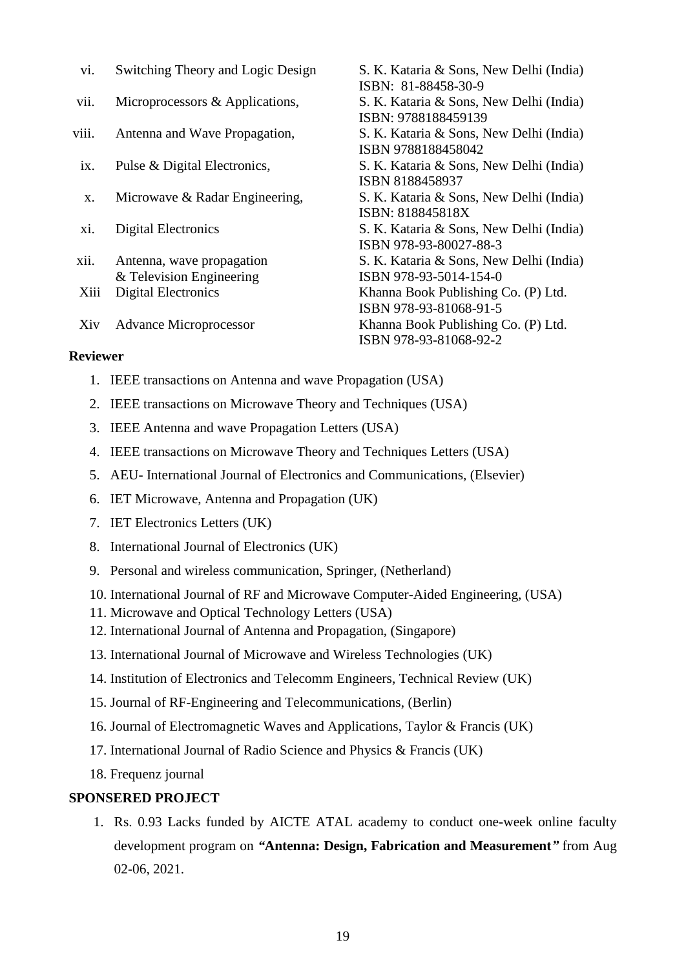| V1.               | Switching Theory and Logic Design                     | S. K. Kataria & Sons, New Delhi (India)                                              |
|-------------------|-------------------------------------------------------|--------------------------------------------------------------------------------------|
| vii.              | Microprocessors & Applications,                       | ISBN: 81-88458-30-9<br>S. K. Kataria & Sons, New Delhi (India)                       |
| viii.             | Antenna and Wave Propagation,                         | ISBN: 9788188459139<br>S. K. Kataria & Sons, New Delhi (India)<br>ISBN 9788188458042 |
| $\overline{1}X$ . | Pulse & Digital Electronics,                          | S. K. Kataria & Sons, New Delhi (India)<br>ISBN 8188458937                           |
| X.                | Microwave & Radar Engineering,                        | S. K. Kataria & Sons, New Delhi (India)<br>ISBN: 818845818X                          |
| XI.               | <b>Digital Electronics</b>                            | S. K. Kataria & Sons, New Delhi (India)<br>ISBN 978-93-80027-88-3                    |
| xii.              | Antenna, wave propagation<br>& Television Engineering | S. K. Kataria & Sons, New Delhi (India)<br>ISBN 978-93-5014-154-0                    |
| Xiii              | <b>Digital Electronics</b>                            | Khanna Book Publishing Co. (P) Ltd.<br>ISBN 978-93-81068-91-5                        |
| Xiv               | <b>Advance Microprocessor</b>                         | Khanna Book Publishing Co. (P) Ltd.<br>ISBN 978-93-81068-92-2                        |

#### **Reviewer**

- 1. IEEE transactions on Antenna and wave Propagation (USA)
- 2. IEEE transactions on Microwave Theory and Techniques (USA)
- 3. IEEE Antenna and wave Propagation Letters (USA)
- 4. IEEE transactions on Microwave Theory and Techniques Letters (USA)
- 5. AEU- International Journal of Electronics and Communications, (Elsevier)
- 6. IET Microwave, Antenna and Propagation (UK)
- 7. IET Electronics Letters (UK)
- 8. International Journal of Electronics (UK)
- 9. Personal and wireless communication, Springer, (Netherland)
- 10. International Journal of RF and Microwave Computer-Aided Engineering, (USA)
- 11. Microwave and Optical Technology Letters (USA)
- 12. International Journal of Antenna and Propagation, (Singapore)
- 13. International Journal of Microwave and Wireless Technologies (UK)
- 14. Institution of Electronics and Telecomm Engineers, Technical Review (UK)
- 15. Journal of RF-Engineering and Telecommunications, (Berlin)
- 16. Journal of Electromagnetic Waves and Applications, Taylor & Francis (UK)
- 17. International Journal of Radio Science and Physics & Francis (UK)
- 18. Frequenz journal

#### **SPONSERED PROJECT**

1. Rs. 0.93 Lacks funded by AICTE ATAL academy to conduct one-week online faculty development program on *"***Antenna: Design, Fabrication and Measurement***"* from Aug 02-06, 2021.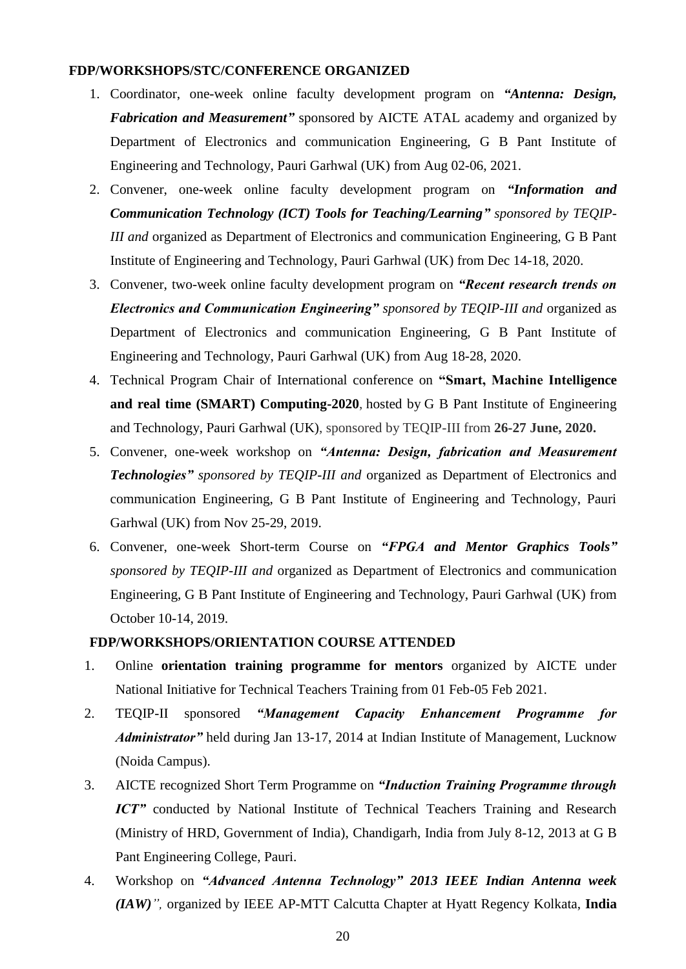#### **FDP/WORKSHOPS/STC/CONFERENCE ORGANIZED**

- 1. Coordinator, one-week online faculty development program on *"Antenna: Design, Fabrication and Measurement"* sponsored by AICTE ATAL academy and organized by Department of Electronics and communication Engineering, G B Pant Institute of Engineering and Technology, Pauri Garhwal (UK) from Aug 02-06, 2021.
- 2. Convener, one-week online faculty development program on *"Information and Communication Technology (ICT) Tools for Teaching/Learning" sponsored by TEQIP-III and* organized as Department of Electronics and communication Engineering, G B Pant Institute of Engineering and Technology, Pauri Garhwal (UK) from Dec 14-18, 2020.
- 3. Convener, two-week online faculty development program on *"Recent research trends on Electronics and Communication Engineering" sponsored by TEQIP-III and* organized as Department of Electronics and communication Engineering, G B Pant Institute of Engineering and Technology, Pauri Garhwal (UK) from Aug 18-28, 2020.
- 4. Technical Program Chair of International conference on **"Smart, Machine Intelligence and real time (SMART) Computing-2020**, hosted by G B Pant Institute of Engineering and Technology, Pauri Garhwal (UK), sponsored by TEQIP-III from **26-27 June, 2020.**
- 5. Convener, one-week workshop on *"Antenna: Design, fabrication and Measurement Technologies" sponsored by TEQIP-III and* organized as Department of Electronics and communication Engineering, G B Pant Institute of Engineering and Technology, Pauri Garhwal (UK) from Nov 25-29, 2019.
- 6. Convener, one-week Short-term Course on *"FPGA and Mentor Graphics Tools" sponsored by TEQIP-III and* organized as Department of Electronics and communication Engineering, G B Pant Institute of Engineering and Technology, Pauri Garhwal (UK) from October 10-14, 2019.

### **FDP/WORKSHOPS/ORIENTATION COURSE ATTENDED**

- 1. Online **orientation training programme for mentors** organized by AICTE under National Initiative for Technical Teachers Training from 01 Feb-05 Feb 2021.
- 2. TEQIP-II sponsored *"Management Capacity Enhancement Programme for Administrator"* held during Jan 13-17, 2014 at Indian Institute of Management, Lucknow (Noida Campus).
- 3. AICTE recognized Short Term Programme on *"Induction Training Programme through ICT*" conducted by National Institute of Technical Teachers Training and Research (Ministry of HRD, Government of India), Chandigarh, India from July 8-12, 2013 at G B Pant Engineering College, Pauri.
- 4. Workshop on *"Advanced Antenna Technology" 2013 IEEE Indian Antenna week (IAW)",* organized by IEEE AP-MTT Calcutta Chapter at Hyatt Regency Kolkata, **India**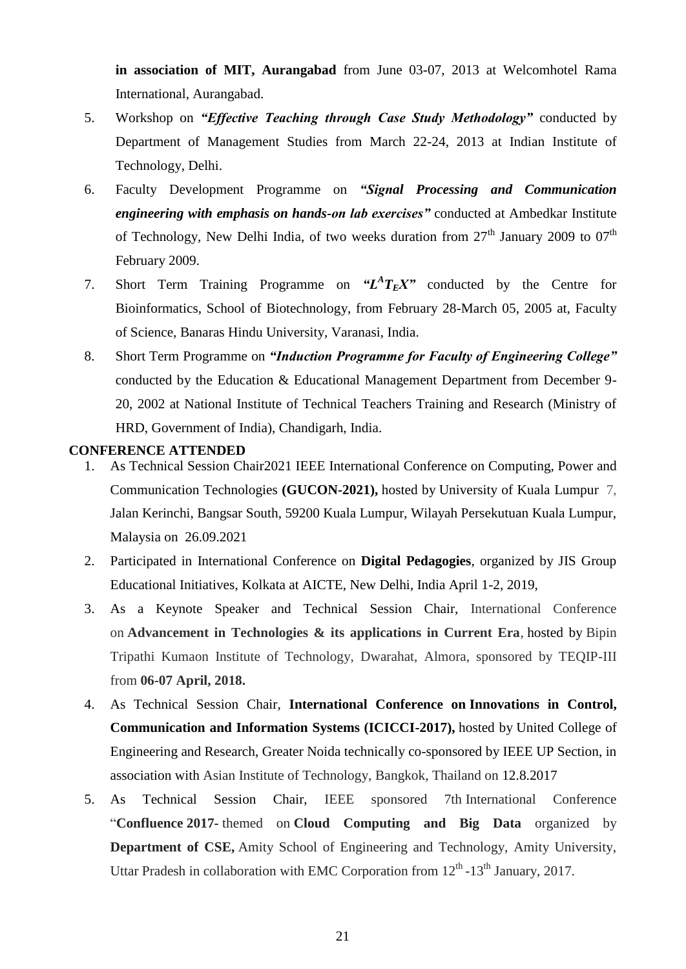**in association of MIT, Aurangabad** from June 03-07, 2013 at Welcomhotel Rama International, Aurangabad.

- 5. Workshop on *"Effective Teaching through Case Study Methodology"* conducted by Department of Management Studies from March 22-24, 2013 at Indian Institute of Technology, Delhi.
- 6. Faculty Development Programme on *"Signal Processing and Communication engineering with emphasis on hands-on lab exercises"* conducted at Ambedkar Institute of Technology, New Delhi India, of two weeks duration from  $27<sup>th</sup>$  January 2009 to  $07<sup>th</sup>$ February 2009.
- 7. Short Term Training Programme on  $"L^AT_EX"$  conducted by the Centre for Bioinformatics, School of Biotechnology, from February 28-March 05, 2005 at, Faculty of Science, Banaras Hindu University, Varanasi, India.
- 8. Short Term Programme on *"Induction Programme for Faculty of Engineering College"* conducted by the Education & Educational Management Department from December 9- 20, 2002 at National Institute of Technical Teachers Training and Research (Ministry of HRD, Government of India), Chandigarh, India.

### **CONFERENCE ATTENDED**

- 1. As Technical Session Chair2021 IEEE International Conference on Computing, Power and Communication Technologies **(GUCON-2021),** hosted by University of Kuala Lumpur 7, Jalan Kerinchi, Bangsar South, 59200 Kuala Lumpur, Wilayah Persekutuan Kuala Lumpur, Malaysia on 26.09.2021
- 2. Participated in International Conference on **Digital Pedagogies**, organized by JIS Group Educational Initiatives, Kolkata at AICTE, New Delhi, India April 1-2, 2019,
- 3. As a Keynote Speaker and Technical Session Chair, International Conference on **Advancement in Technologies & its applications in Current Era**, hosted by Bipin Tripathi Kumaon Institute of Technology, Dwarahat, Almora, sponsored by TEQIP-III from **06-07 April, 2018.**
- 4. As Technical Session Chair, **International Conference on Innovations in Control, Communication and Information Systems (ICICCI-2017),** hosted by United College of Engineering and Research, Greater Noida technically co-sponsored by IEEE UP Section, in association with Asian Institute of Technology, Bangkok, Thailand on 12.8.2017
- 5. As Technical Session Chair, IEEE sponsored 7th International Conference "**Confluence 2017-** themed on **Cloud Computing and Big Data** organized by **Department of CSE,** Amity School of Engineering and Technology, Amity University, Uttar Pradesh in collaboration with EMC Corporation from  $12<sup>th</sup>$ -13<sup>th</sup> January, 2017.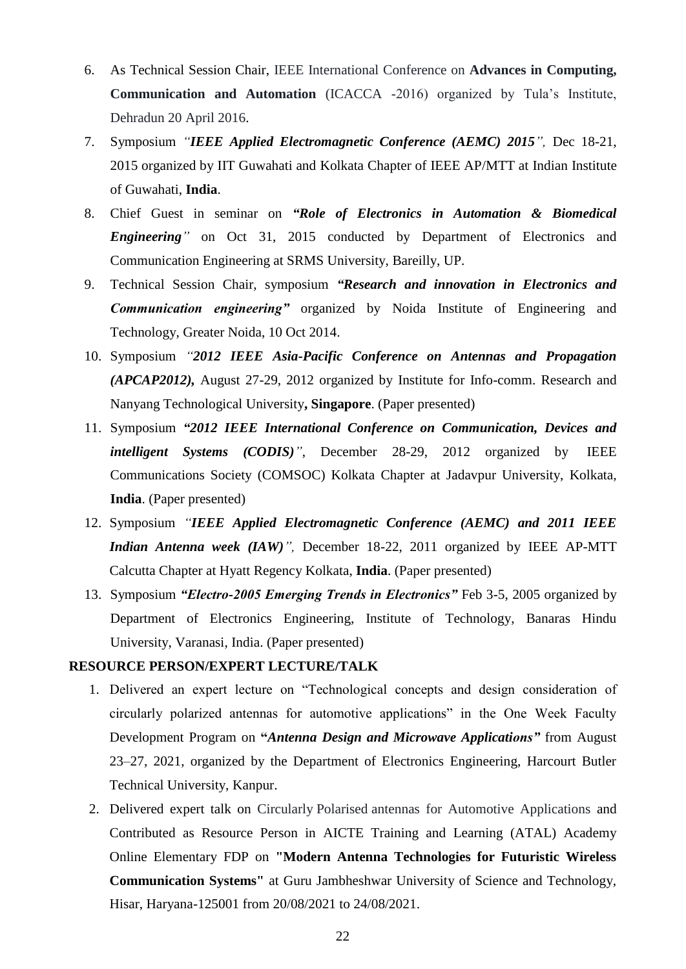- 6. As Technical Session Chair, IEEE International Conference on **Advances in Computing, Communication and Automation** (ICACCA -2016) organized by Tula"s Institute, Dehradun 20 April 2016.
- 7. Symposium *"IEEE Applied Electromagnetic Conference (AEMC) 2015",* Dec 18-21, 2015 organized by IIT Guwahati and Kolkata Chapter of IEEE AP/MTT at Indian Institute of Guwahati, **India**.
- 8. Chief Guest in seminar on *"Role of Electronics in Automation & Biomedical Engineering"* on Oct 31, 2015 conducted by Department of Electronics and Communication Engineering at SRMS University, Bareilly, UP.
- 9. Technical Session Chair, symposium *"Research and innovation in Electronics and Communication engineering"* organized by Noida Institute of Engineering and Technology, Greater Noida, 10 Oct 2014.
- 10. Symposium *"2012 IEEE Asia-Pacific Conference on Antennas and Propagation (APCAP2012),* August 27-29, 2012 organized by Institute for Info-comm. Research and Nanyang Technological University**, Singapore**. (Paper presented)
- 11. Symposium *"2012 IEEE International Conference on Communication, Devices and intelligent Systems (CODIS)"*, December 28-29, 2012 organized by [IEEE](http://www.ewh.ieee.org/r10/calcutta/comsoc)  [Communications Society \(COMSOC\) Kolkata Chapter](http://www.ewh.ieee.org/r10/calcutta/comsoc) at Jadavpur University, Kolkata, **India**. (Paper presented)
- 12. Symposium *"IEEE Applied Electromagnetic Conference (AEMC) and 2011 IEEE Indian Antenna week (IAW)",* December 18-22, 2011 organized by IEEE AP-MTT Calcutta Chapter at Hyatt Regency Kolkata, **India**. (Paper presented)
- 13. Symposium *"Electro-2005 Emerging Trends in Electronics"* Feb 3-5, 2005 organized by Department of Electronics Engineering, Institute of Technology, Banaras Hindu University, Varanasi, India. (Paper presented)

## **RESOURCE PERSON/EXPERT LECTURE/TALK**

- 1. Delivered an expert lecture on "Technological concepts and design consideration of circularly polarized antennas for automotive applications" in the One Week Faculty Development Program on **"***Antenna Design and Microwave Applications"* from August 23–27, 2021, organized by the Department of Electronics Engineering, Harcourt Butler Technical University, Kanpur.
- 2. Delivered expert talk on Circularly Polarised antennas for Automotive Applications and Contributed as Resource Person in AICTE Training and Learning (ATAL) Academy Online Elementary FDP on **"Modern Antenna Technologies for Futuristic Wireless Communication Systems"** at Guru Jambheshwar University of Science and Technology, Hisar, Haryana-125001 from 20/08/2021 to 24/08/2021.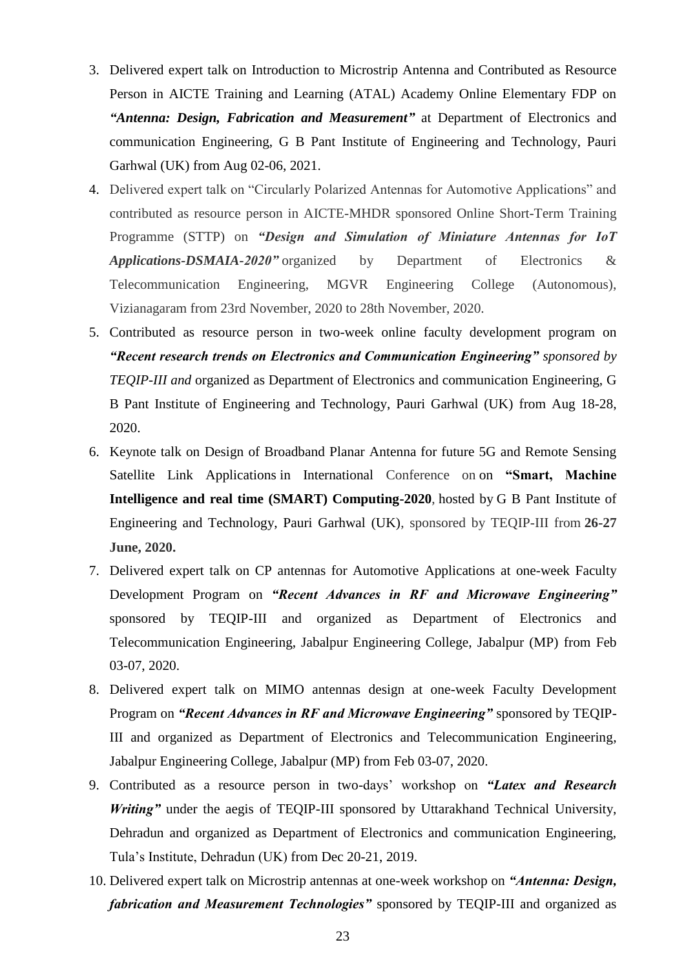- 3. Delivered expert talk on Introduction to Microstrip Antenna and Contributed as Resource Person in AICTE Training and Learning (ATAL) Academy Online Elementary FDP on *"Antenna: Design, Fabrication and Measurement"* at Department of Electronics and communication Engineering, G B Pant Institute of Engineering and Technology, Pauri Garhwal (UK) from Aug 02-06, 2021.
- 4. Delivered expert talk on "Circularly Polarized Antennas for Automotive Applications" and contributed as resource person in AICTE-MHDR sponsored Online Short-Term Training Programme (STTP) on *"Design and Simulation of Miniature Antennas for IoT Applications-DSMAIA-2020"* organized by Department of Electronics & Telecommunication Engineering, MGVR Engineering College (Autonomous), Vizianagaram from 23rd November, 2020 to 28th November, 2020.
- 5. Contributed as resource person in two-week online faculty development program on *"Recent research trends on Electronics and Communication Engineering" sponsored by TEQIP-III and* organized as Department of Electronics and communication Engineering, G B Pant Institute of Engineering and Technology, Pauri Garhwal (UK) from Aug 18-28, 2020.
- 6. Keynote talk on Design of Broadband Planar Antenna for future 5G and Remote Sensing Satellite Link Applications in International Conference on on **"Smart, Machine Intelligence and real time (SMART) Computing-2020**, hosted by G B Pant Institute of Engineering and Technology, Pauri Garhwal (UK), sponsored by TEQIP-III from **26-27 June, 2020.**
- 7. Delivered expert talk on CP antennas for Automotive Applications at one-week Faculty Development Program on *"Recent Advances in RF and Microwave Engineering"*  sponsored by TEQIP-III and organized as Department of Electronics and Telecommunication Engineering, Jabalpur Engineering College, Jabalpur (MP) from Feb 03-07, 2020.
- 8. Delivered expert talk on MIMO antennas design at one-week Faculty Development Program on *"Recent Advances in RF and Microwave Engineering"* sponsored by TEQIP-III and organized as Department of Electronics and Telecommunication Engineering, Jabalpur Engineering College, Jabalpur (MP) from Feb 03-07, 2020.
- 9. Contributed as a resource person in two-days" workshop on *"Latex and Research Writing*" under the aegis of TEQIP-III sponsored by Uttarakhand Technical University, Dehradun and organized as Department of Electronics and communication Engineering, Tula"s Institute, Dehradun (UK) from Dec 20-21, 2019.
- 10. Delivered expert talk on Microstrip antennas at one-week workshop on *"Antenna: Design, fabrication and Measurement Technologies"* sponsored by TEQIP-III and organized as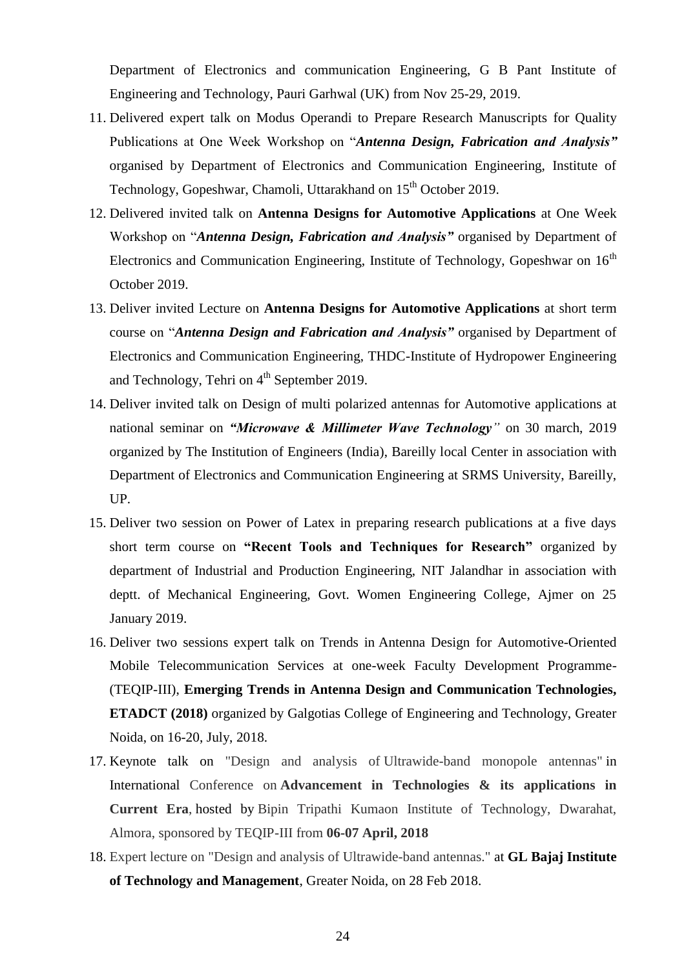Department of Electronics and communication Engineering, G B Pant Institute of Engineering and Technology, Pauri Garhwal (UK) from Nov 25-29, 2019.

- 11. Delivered expert talk on Modus Operandi to Prepare Research Manuscripts for Quality Publications at One Week Workshop on "*Antenna Design, Fabrication and Analysis"* organised by Department of Electronics and Communication Engineering, Institute of Technology, Gopeshwar, Chamoli, Uttarakhand on 15<sup>th</sup> October 2019.
- 12. Delivered invited talk on **Antenna Designs for Automotive Applications** at One Week Workshop on "*Antenna Design, Fabrication and Analysis"* organised by Department of Electronics and Communication Engineering, Institute of Technology, Gopeshwar on  $16<sup>th</sup>$ October 2019.
- 13. Deliver invited Lecture on **Antenna Designs for Automotive Applications** at short term course on "*Antenna Design and Fabrication and Analysis"* organised by Department of Electronics and Communication Engineering, THDC-Institute of Hydropower Engineering and Technology, Tehri on  $4<sup>th</sup>$  September 2019.
- 14. Deliver invited talk on Design of multi polarized antennas for Automotive applications at national seminar on *"Microwave & Millimeter Wave Technology"* on 30 march, 2019 organized by The Institution of Engineers (India), Bareilly local Center in association with Department of Electronics and Communication Engineering at SRMS University, Bareilly, UP.
- 15. Deliver two session on Power of Latex in preparing research publications at a five days short term course on **"Recent Tools and Techniques for Research"** organized by department of Industrial and Production Engineering, NIT Jalandhar in association with deptt. of Mechanical Engineering, Govt. Women Engineering College, Ajmer on 25 January 2019.
- 16. Deliver two sessions expert talk on Trends in Antenna Design for Automotive-Oriented Mobile Telecommunication Services at one-week Faculty Development Programme- (TEQIP-III), **Emerging Trends in Antenna Design and Communication Technologies, ETADCT (2018)** organized by Galgotias College of Engineering and Technology, Greater Noida, on 16-20, July, 2018.
- 17. Keynote talk on "Design and analysis of Ultrawide-band monopole antennas" in International Conference on **Advancement in Technologies & its applications in Current Era**, hosted by Bipin Tripathi Kumaon Institute of Technology, Dwarahat, Almora, sponsored by TEQIP-III from **06-07 April, 2018**
- 18. Expert lecture on "Design and analysis of Ultrawide-band antennas." at **GL Bajaj Institute of Technology and Management**, Greater Noida, on 28 Feb 2018.